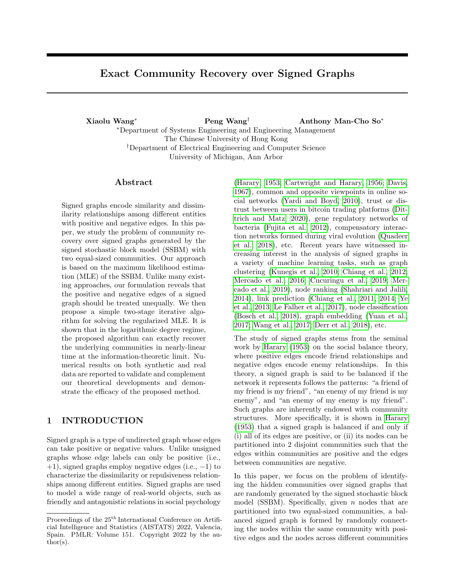# Exact Community Recovery over Signed Graphs

Xiaolu Wang<sup>∗</sup> Peng Wang† Anthony Man-Cho So<sup>∗</sup> <sup>∗</sup>Department of Systems Engineering and Engineering Management The Chinese University of Hong Kong †Department of Electrical Engineering and Computer Science University of Michigan, Ann Arbor

### Abstract

Signed graphs encode similarity and dissimilarity relationships among different entities with positive and negative edges. In this paper, we study the problem of community recovery over signed graphs generated by the signed stochastic block model (SSBM) with two equal-sized communities. Our approach is based on the maximum likelihood estimation (MLE) of the SSBM. Unlike many existing approaches, our formulation reveals that the positive and negative edges of a signed graph should be treated unequally. We then propose a simple two-stage iterative algorithm for solving the regularized MLE. It is shown that in the logarithmic degree regime, the proposed algorithm can exactly recover the underlying communities in nearly-linear time at the information-theoretic limit. Numerical results on both synthetic and real data are reported to validate and complement our theoretical developments and demonstrate the efficacy of the proposed method.

# 1 INTRODUCTION

Signed graph is a type of undirected graph whose edges can take positive or negative values. Unlike unsigned graphs whose edge labels can only be positive (i.e., +1), signed graphs employ negative edges (i.e., −1) to characterize the dissimilarity or repulsiveness relationships among different entities. Signed graphs are used to model a wide range of real-world objects, such as friendly and antagonistic relations in social psychology

[\(Harary, 1953;](#page-9-0) [Cartwright and Harary, 1956;](#page-8-0) [Davis,](#page-9-1) [1967\)](#page-9-1), common and opposite viewpoints in online social networks [\(Yardi and Boyd, 2010\)](#page-10-0), trust or distrust between users in bitcoin trading platforms [\(Dit](#page-9-2)[trich and Matz, 2020\)](#page-9-2), gene regulatory networks of bacteria [\(Fujita et al., 2012\)](#page-9-3), compensatory interaction networks formed during viral evolution [\(Quadeer](#page-9-4) [et al., 2018\)](#page-9-4), etc. Recent years have witnessed increasing interest in the analysis of signed graphs in a variety of machine learning tasks, such as graph clustering [\(Kunegis et al., 2010;](#page-9-5) [Chiang et al., 2012;](#page-8-1) [Mercado et al., 2016;](#page-9-6) [Cucuringu et al., 2019;](#page-9-7) [Mer](#page-9-8)[cado et al., 2019\)](#page-9-8), node ranking [\(Shahriari and Jalili,](#page-9-9) [2014\)](#page-9-9), link prediction [\(Chiang et al., 2011,](#page-8-2) [2014;](#page-8-3) [Ye](#page-10-1) [et al., 2013;](#page-10-1) [Le Falher et al., 2017\)](#page-9-10), node classification [\(Bosch et al., 2018\)](#page-8-4), graph embedding [\(Yuan et al.,](#page-10-2) [2017;](#page-10-2) [Wang et al., 2017;](#page-10-3) [Derr et al., 2018\)](#page-9-11), etc.

The study of signed graphs stems from the seminal work by [Harary](#page-9-0) [\(1953\)](#page-9-0) on the social balance theory, where positive edges encode friend relationships and negative edges encode enemy relationships. In this theory, a signed graph is said to be balanced if the network it represents follows the patterns: "a friend of my friend is my friend", "an enemy of my friend is my enemy", and "an enemy of my enemy is my friend". Such graphs are inherently endowed with community structures. More specifically, it is shown in [Harary](#page-9-0) [\(1953\)](#page-9-0) that a signed graph is balanced if and only if (i) all of its edges are positive, or (ii) its nodes can be partitioned into 2 disjoint communities such that the edges within communities are positive and the edges between communities are negative.

In this paper, we focus on the problem of identifying the hidden communities over signed graphs that are randomly generated by the signed stochastic block model (SSBM). Specifically, given  $n$  nodes that are partitioned into two equal-sized communities, a balanced signed graph is formed by randomly connecting the nodes within the same community with positive edges and the nodes across different communities

Proceedings of the  $25<sup>th</sup>$  International Conference on Artificial Intelligence and Statistics (AISTATS) 2022, Valencia, Spain. PMLR: Volume 151. Copyright 2022 by the au- $\text{thor}(s)$ .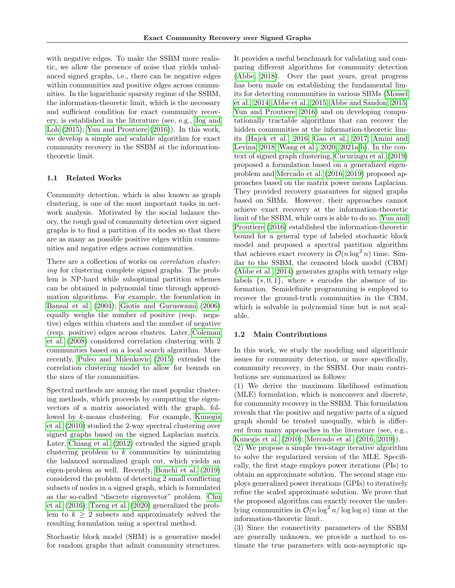with negative edges. To make the SSBM more realistic, we allow the presence of noise that yields unbalanced signed graphs, i.e., there can be negative edges within communities and positive edges across communities. In the logarithmic sparsity regime of the SSBM, the information-theoretic limit, which is the necessary and sufficient condition for exact community recovery, is established in the literature (see, e.g., [Jog and](#page-9-12) [Loh](#page-9-12) [\(2015\)](#page-9-12); [Yun and Proutiere](#page-10-4) [\(2016\)](#page-10-4)). In this work, we develop a simple and scalable algorithm for exact community recovery in the SSBM at the informationtheoretic limit.

#### 1.1 Related Works

Community detection, which is also known as graph clustering, is one of the most important tasks in network analysis. Motivated by the social balance theory, the rough goal of community detection over signed graphs is to find a partition of its nodes so that there are as many as possible positive edges within communities and negative edges across communities.

There are a collection of works on correlation clustering for clustering complete signed graphs. The problem is NP-hard while suboptimal partition schemes can be obtained in polynomial time through approximation algorithms. For example, the formulation in [Bansal et al.](#page-8-5) [\(2004\)](#page-8-5); [Giotis and Guruswami](#page-9-13) [\(2006\)](#page-9-13) equally weighs the number of positive (resp. negative) edges within clusters and the number of negative (resp. positive) edges across clusters. Later, [Coleman](#page-9-14) [et al.](#page-9-14) [\(2008\)](#page-9-14) considered correlation clustering with 2 communities based on a local search algorithm. More recently, [Puleo and Milenkovic](#page-9-15) [\(2015\)](#page-9-15) extended the correlation clustering model to allow for bounds on the sizes of the communities.

Spectral methods are among the most popular clustering methods, which proceeds by computing the eigenvectors of a matrix associated with the graph, followed by k-means clustering. For example, [Kunegis](#page-9-5) [et al.](#page-9-5) [\(2010\)](#page-9-5) studied the 2-way spectral clustering over signed graphs based on the signed Laplacian matrix. Later, [Chiang et al.](#page-8-1) [\(2012\)](#page-8-1) extended the signed graph clustering problem to  $k$  communities by minimizing the balanced normalized graph cut, which yields an eigen-problem as well. Recently, [Bonchi et al.](#page-8-6) [\(2019\)](#page-8-6) considered the problem of detecting 2 small conflicting subsets of nodes in a signed graph, which is formulated as the so-called "discrete eigenvector" problem. [Chu](#page-9-16) [et al.](#page-9-16) [\(2016\)](#page-9-16); [Tzeng et al.](#page-9-17) [\(2020\)](#page-9-17) generalized the problem to  $k \geq 2$  subsets and approximately solved the resulting formulation using a spectral method.

Stochastic block model (SBM) is a generative model for random graphs that admit community structures.

It provides a useful benchmark for validating and comparing different algorithms for community detection [\(Abbe, 2018\)](#page-8-7). Over the past years, great progress has been made on establishing the fundamental limits for detecting communities in various SBMs [\(Mossel](#page-9-18) [et al., 2014;](#page-9-18) [Abbe et al., 2015;](#page-8-8) [Abbe and Sandon, 2015;](#page-8-9) [Yun and Proutiere, 2016\)](#page-10-4) and on developing computationally tractable algorithms that can recover the hidden communities at the information-theoretic limits [\(Hajek et al., 2016;](#page-9-19) [Gao et al., 2017;](#page-9-20) [Amini and](#page-8-10) [Levina, 2018;](#page-8-10) [Wang et al., 2020,](#page-10-5) [2021a](#page-10-6)[,b\)](#page-10-7). In the context of signed graph clustering, [Cucuringu et al.](#page-9-7) [\(2019\)](#page-9-7) proposed a formulation based on a generalized eigenproblem and [Mercado et al.](#page-9-6) [\(2016,](#page-9-6) [2019\)](#page-9-8) proposed approaches based on the matrix power means Laplacian. They provided recovery guarantees for signed graphs based on SBMs. However, their approaches cannot achieve exact recovery at the information-theoretic limit of the SSBM, while ours is able to do so. [Yun and](#page-10-4) [Proutiere](#page-10-4) [\(2016\)](#page-10-4) established the information-theoretic bound for a general type of labeled stochastic block model and proposed a spectral partition algorithm that achieves exact recovery in  $\mathcal{O}(n \log^2 n)$  time. Similar to the SSBM, the censored block model (CBM) [\(Abbe et al., 2014\)](#page-8-11) generates graphs with ternary edge labels  $\{*,0,1\}$ , where  $*$  encodes the absence of information. Semidefinite programming is employed to recover the ground-truth communities in the CBM, which is solvable in polynomial time but is not scalable.

### 1.2 Main Contributions

In this work, we study the modeling and algorithmic issues for community detection, or more specifically, community recovery, in the SSBM. Our main contributions are summarized as follows:

(1) We derive the maximum likelihood estimation (MLE) formulation, which is nonconvex and discrete, for community recovery in the SSBM. This formulation reveals that the positive and negative parts of a signed graph should be treated unequally, which is different from many approaches in the literature (see, e.g., [Kunegis et al.](#page-9-5) [\(2010\)](#page-9-5); [Mercado et al.](#page-9-6) [\(2016,](#page-9-6) [2019\)](#page-9-8)).

(2) We propose a simple two-stage iterative algorithm to solve the regularized version of the MLE. Specifically, the first stage employs power iterations (PIs) to obtain an approximate solution. The second stage employs generalized power iterations (GPIs) to iteratively refine the scaled approximate solution. We prove that the proposed algorithm can exactly recover the underlying communities in  $\mathcal{O}(n \log^2 n / \log \log n)$  time at the information-theoretic limit.

(3) Since the connectivity parameters of the SSBM are generally unknown, we provide a method to estimate the true parameters with non-asymptotic up-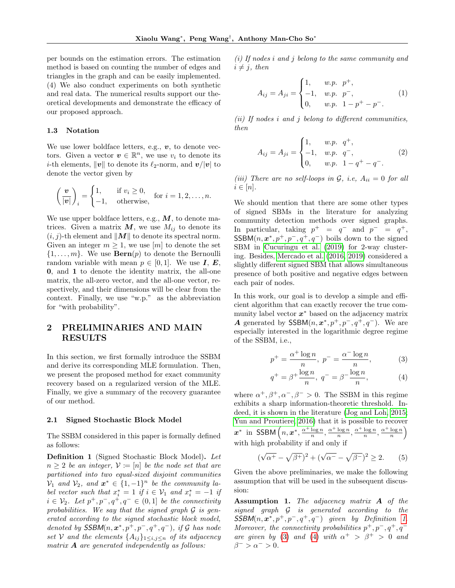per bounds on the estimation errors. The estimation method is based on counting the number of edges and triangles in the graph and can be easily implemented. (4) We also conduct experiments on both synthetic and real data. The numerical results support our theoretical developments and demonstrate the efficacy of our proposed approach.

#### 1.3 Notation

We use lower boldface letters, e.g.,  $v$ , to denote vectors. Given a vector  $v \in \mathbb{R}^n$ , we use  $v_i$  to denote its *i*-th elements,  $\|\boldsymbol{v}\|$  to denote its  $\ell_2$ -norm, and  $\boldsymbol{v}/|\boldsymbol{v}|$  to denote the vector given by

$$
\left(\frac{\boldsymbol{v}}{|\boldsymbol{v}|}\right)_i = \begin{cases} 1, & \text{if } v_i \ge 0, \\ -1, & \text{otherwise,} \end{cases} \text{ for } i = 1, 2, \dots, n.
$$

We use upper boldface letters, e.g.,  $M$ , to denote matrices. Given a matrix  $M$ , we use  $M_{ij}$  to denote its  $(i, j)$ -th element and  $||M||$  to denote its spectral norm. Given an integer  $m \geq 1$ , we use [m] to denote the set  $\{1, \ldots, m\}$ . We use  $\mathbf{Bern}(p)$  to denote the Bernoulli random variable with mean  $p \in [0,1]$ . We use **I**, **E**, 0, and 1 to denote the identity matrix, the all-one matrix, the all-zero vector, and the all-one vector, respectively, and their dimensions will be clear from the context. Finally, we use "w.p." as the abbreviation for "with probability".

# <span id="page-2-5"></span>2 PRELIMINARIES AND MAIN RESULTS

In this section, we first formally introduce the SSBM and derive its corresponding MLE formulation. Then, we present the proposed method for exact community recovery based on a regularized version of the MLE. Finally, we give a summary of the recovery guarantee of our method.

#### 2.1 Signed Stochastic Block Model

The SSBM considered in this paper is formally defined as follows:

<span id="page-2-0"></span>Definition 1 (Signed Stochastic Block Model). Let  $n \geq 2$  be an integer,  $\mathcal{V} \coloneq [n]$  be the node set that are partitioned into two equal-sized disjoint communities  $\mathcal{V}_1$  and  $\mathcal{V}_2$ , and  $\mathbf{x}^* \in \{1, -1\}^n$  be the community label vector such that  $x_i^* = 1$  if  $i \in V_1$  and  $x_i^* = -1$  if  $i \in \mathcal{V}_2$ . Let  $p^+, p^-, q^+, q^- \in (0,1]$  be the connectivity probabilities. We say that the signed graph  $\mathcal G$  is generated according to the signed stochastic block model, denoted by  $SSBM(n, \boldsymbol{x}^*, p^+, p^-, q^+, q^-)$ , if G has node set V and the elements  ${A_{ij}}_{1\le i,j\le n}$  of its adjacency matrix  $\bf{A}$  are generated independently as follows:

(i) If nodes i and j belong to the same community and  $i \neq j$ , then

$$
A_{ij} = A_{ji} = \begin{cases} 1, & w.p. \quad p^+, \\ -1, & w.p. \quad p^-, \\ 0, & w.p. \quad 1 - p^+ - p^-. \end{cases}
$$
 (1)

(ii) If nodes  $i$  and  $j$  belong to different communities, then

$$
A_{ij} = A_{ji} = \begin{cases} 1, & w.p. \ q^+, \\ -1, & w.p. \ q^-, \\ 0, & w.p. \ 1 - q^+ - q^-. \end{cases}
$$
 (2)

(iii) There are no self-loops in  $G$ , i.e,  $A_{ii} = 0$  for all  $i \in [n]$ .

We should mention that there are some other types of signed SBMs in the literature for analyzing community detection methods over signed graphs. In particular, taking  $p^+ = q^-$  and  $p^- = q^+$ ,  $SSBM(n, \boldsymbol{x}^*, p^+, p^-, q^+, q^-)$  boils down to the signed SBM in [Cucuringu et al.](#page-9-7) [\(2019\)](#page-9-7) for 2-way clustering. Besides, [Mercado et al.](#page-9-6) [\(2016,](#page-9-6) [2019\)](#page-9-8) considered a slightly different signed SBM that allows simultaneous presence of both positive and negative edges between each pair of nodes.

In this work, our goal is to develop a simple and efficient algorithm that can exactly recover the true community label vector  $x^*$  based on the adjacency matrix A generated by  $SSBM(n, \boldsymbol{x}^*, p^+, p^-, q^+, q^-)$ . We are especially interested in the logarithmic degree regime of the SSBM, i.e.,

<span id="page-2-1"></span>
$$
p^{+} = \frac{\alpha^{+} \log n}{n}, \ p^{-} = \frac{\alpha^{-} \log n}{n}, \tag{3}
$$

<span id="page-2-2"></span>
$$
q^{+} = \beta^{+} \frac{\log n}{n}, \ q^{-} = \beta^{-} \frac{\log n}{n}, \tag{4}
$$

where  $\alpha^+, \beta^+, \alpha^-, \beta^- > 0$ . The SSBM in this regime exhibits a sharp information-theoretic threshold. Indeed, it is shown in the literature [\(Jog and Loh, 2015;](#page-9-12) [Yun and Proutiere, 2016\)](#page-10-4) that it is possible to recover  $\boldsymbol{x}^*$  in SSBM  $\left(n, \boldsymbol{x}^*, \frac{\alpha^+ \log n}{n}, \frac{\alpha^+ \log n}{n}, \frac{\alpha^+ \log n}{n}, \frac{\alpha^+ \log n}{n}\right)$ with high probability if and only if

<span id="page-2-4"></span>
$$
(\sqrt{\alpha^{+}} - \sqrt{\beta^{+}})^{2} + (\sqrt{\alpha^{-}} - \sqrt{\beta^{-}})^{2} \ge 2.
$$
 (5)

Given the above preliminaries, we make the following assumption that will be used in the subsequent discussion:

<span id="page-2-3"></span>Assumption 1. The adjacency matrix A of the signed graph G is generated according to the  $SSBM(n, \boldsymbol{x}^*, p^+, p^-, q^+, q^-)$  given by Definition [1.](#page-2-0) Moreover, the connectivity probabilities  $p^+, p^-, q^+, q^-$ are given by [\(3\)](#page-2-1) and [\(4\)](#page-2-2) with  $\alpha^+ > \beta^+ > 0$  and  $\beta^{-} > \alpha^{-} > 0.$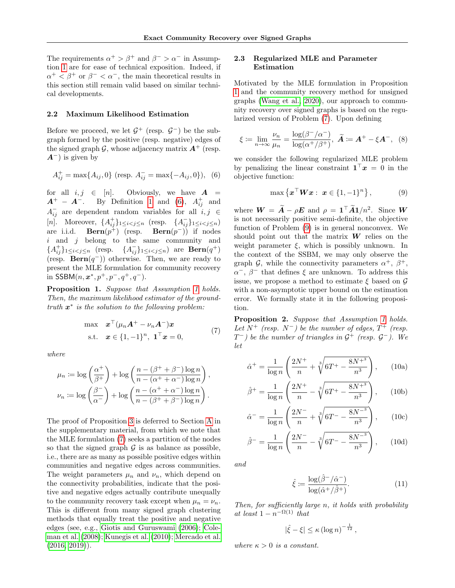The requirements  $\alpha^+ > \beta^+$  and  $\beta^- > \alpha^-$  in Assumption [1](#page-2-3) are for ease of technical exposition. Indeed, if  $\alpha^+ < \beta^+$  or  $\beta^- < \alpha^-$ , the main theoretical results in this section still remain valid based on similar technical developments.

### 2.2 Maximum Likelihood Estimation

Before we proceed, we let  $\mathcal{G}^+$  (resp.  $\mathcal{G}^-$ ) be the subgraph formed by the positive (resp. negative) edges of the signed graph  $\mathcal{G}$ , whose adjacency matrix  $\mathbf{A}^+$  (resp.  $A^-$ ) is given by

$$
A_{ij}^{+} = \max\{A_{ij}, 0\} \text{ (resp. } A_{ij}^{-} = \max\{-A_{ij}, 0\}\text{), (6)}
$$

for all  $i, j \in [n]$ . Obviously, we have  $A =$  $A^+ - A^-$ . By Definition [1](#page-2-0) and [\(6\)](#page-3-0),  $A^+_{ij}$  and  $A_{ij}^-$  are dependent random variables for all  $i, j \in$ [*n*]. Moreover,  $\{A_{ij}^{+}\}_{1 \leq i < j \leq n}$  (resp.  $\{A_{ij}^{-}\}_{1 \leq i < j \leq n}$ ) are i.i.d. **Bern** $(p^+)$  (resp. **Bern** $(p^-)$ ) if nodes  $i$  and  $j$  belong to the same community and  ${A_{ij}^+}_{1\leq i < j \leq n}$  (resp.  ${A_{ij}^-}_{1\leq i < j \leq n}$ ) are **Bern** $(q^+)$ (resp.  $\textbf{Bern}(q^-)$ ) otherwise. Then, we are ready to present the MLE formulation for community recovery in SSBM $(n, \boldsymbol{x}^*, p^+, p^-, q^+, q^-)$ .

<span id="page-3-2"></span>Proposition [1](#page-2-3). Suppose that Assumption 1 holds. Then, the maximum likelihood estimator of the groundtruth  $x^*$  is the solution to the following problem:

$$
\max \n\mathbf{x}^{\top}(\mu_n \mathbf{A}^+ - \nu_n \mathbf{A}^-)\mathbf{x}
$$
\n
$$
\text{s.t.} \quad \mathbf{x} \in \{1, -1\}^n, \ \mathbf{1}^{\top}\mathbf{x} = 0,
$$
\n
$$
(7)
$$

<span id="page-3-1"></span>where

$$
\mu_n := \log\left(\frac{\alpha^+}{\beta^+}\right) + \log\left(\frac{n - (\beta^+ + \beta^-)\log n}{n - (\alpha^+ + \alpha^-)\log n}\right),
$$
  

$$
\nu_n := \log\left(\frac{\beta^-}{\alpha^-}\right) + \log\left(\frac{n - (\alpha^+ + \alpha^-)\log n}{n - (\beta^+ + \beta^-)\log n}\right).
$$

The proof of Proposition [3](#page-5-0) is deferred to Section [A](#page-11-0) in the supplementary material, from which we note that the MLE formulation [\(7\)](#page-3-1) seeks a partition of the nodes so that the signed graph  $\mathcal G$  is as balance as possible, i.e., there are as many as possible positive edges within communities and negative edges across communities. The weight parameters  $\mu_n$  and  $\nu_n$ , which depend on the connectivity probabilities, indicate that the positive and negative edges actually contribute unequally to the community recovery task except when  $\mu_n = \nu_n$ . This is different from many signed graph clustering methods that equally treat the positive and negative edges (see, e.g., [Giotis and Guruswami](#page-9-13) [\(2006\)](#page-9-13); [Cole](#page-9-14)[man et al.](#page-9-14) [\(2008\)](#page-9-14); [Kunegis et al.](#page-9-5) [\(2010\)](#page-9-5); [Mercado et al.](#page-9-6)  $(2016, 2019)$  $(2016, 2019)$ .

### 2.3 Regularized MLE and Parameter Estimation

Motivated by the MLE formulation in Proposition [1](#page-3-2) and the community recovery method for unsigned graphs [\(Wang et al., 2020\)](#page-10-5), our approach to community recovery over signed graphs is based on the regularized version of Problem [\(7\)](#page-3-1). Upon defining

$$
\xi \coloneqq \lim_{n \to \infty} \frac{\nu_n}{\mu_n} = \frac{\log(\beta^-/\alpha^-)}{\log(\alpha^+/\beta^+)}, \ \widetilde{A} \coloneqq A^+ - \xi A^-, \ \ (8)
$$

<span id="page-3-0"></span>we consider the following regularized MLE problem by penalizing the linear constraint  $\mathbf{1}^\top \boldsymbol{x} = 0$  in the objective function:

<span id="page-3-8"></span><span id="page-3-3"></span>
$$
\max\left\{\boldsymbol{x}^{\top}\boldsymbol{W}\boldsymbol{x}:\ \boldsymbol{x}\in\{1,-1\}^n\right\},\tag{9}
$$

where  $\boldsymbol{W} = \boldsymbol{\tilde{A}} - \rho \boldsymbol{E}$  and  $\rho = \boldsymbol{1}^\top \boldsymbol{\tilde{A}} \boldsymbol{1}/n^2$ . Since  $\boldsymbol{W}$ is not necessarily positive semi-definite, the objective function of Problem [\(9\)](#page-3-3) is in general nonconvex. We should point out that the matrix  $W$  relies on the weight parameter  $\xi$ , which is possibly unknown. In the context of the SSBM, we may only observe the graph G, while the connectivity parameters  $\alpha^+$ ,  $\beta^+$ ,  $\alpha^{-}$ ,  $\beta^{-}$  that defines  $\xi$  are unknown. To address this issue, we propose a method to estimate  $\xi$  based on  $\mathcal G$ with a non-asymptotic upper bound on the estimation error. We formally state it in the following proposition.

<span id="page-3-4"></span>Proposition 2. Suppose that Assumption [1](#page-2-3) holds. Let  $N^+$  (resp.  $N^-$ ) be the number of edges,  $T^+$  (resp.  $T^-$ ) be the number of triangles in  $\mathcal{G}^+$  (resp.  $\mathcal{G}^-$ ). We let

<span id="page-3-6"></span>
$$
\hat{\alpha}^{+} = \frac{1}{\log n} \left( \frac{2N^{+}}{n} + \sqrt[3]{6T^{+} - \frac{8N^{+3}}{n^3}} \right), \qquad (10a)
$$

$$
\hat{\beta}^{+} = \frac{1}{\log n} \left( \frac{2N^{+}}{n} - \sqrt[3]{6T^{+} - \frac{8N^{+3}}{n^3}} \right), \qquad (10b)
$$

$$
\hat{\alpha}^{-} = \frac{1}{\log n} \left( \frac{2N^{-}}{n} + \sqrt[3]{6T^{-} - \frac{8N^{-3}}{n^3}} \right), \qquad (10c)
$$

$$
\hat{\beta}^{-} = \frac{1}{\log n} \left( \frac{2N^{-}}{n} - \sqrt[3]{6T^{-} - \frac{8N^{-3}}{n^3}} \right), \quad (10d)
$$

and

<span id="page-3-7"></span><span id="page-3-5"></span>
$$
\hat{\xi} := \frac{\log(\hat{\beta}^-/\hat{\alpha}^-)}{\log(\hat{\alpha}^+/\hat{\beta}^+)}.
$$
\n(11)

Then, for sufficiently large n, it holds with probability at least  $1 - n^{-\Omega(1)}$  that

$$
|\hat{\xi} - \xi| \le \kappa (\log n)^{-\frac{1}{12}},
$$

where  $\kappa > 0$  is a constant.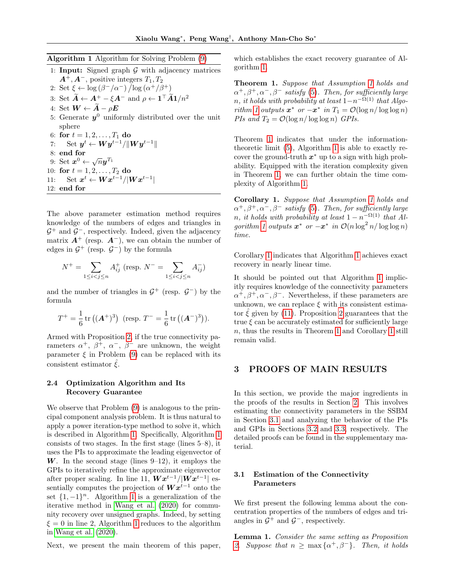<span id="page-4-0"></span>

|  |  | <b>Algorithm 1</b> Algorithm for Solving Problem (9) |  |
|--|--|------------------------------------------------------|--|
|  |  |                                                      |  |

|     | 1: <b>Input:</b> Signed graph $\mathcal{G}$ with adjacency matrices                                                           |
|-----|-------------------------------------------------------------------------------------------------------------------------------|
|     | $A^+, A^-$ , positive integers $T_1, T_2$                                                                                     |
|     | 2: Set $\xi \leftarrow \log(\beta^-/\alpha^-) / \log(\alpha^+/\beta^+)$                                                       |
|     | 3: Set $\tilde{A} \leftarrow A^+ - \xi A^-$ and $\rho \leftarrow 1^{\top} \tilde{A} 1/n^2$                                    |
|     | 4: Set $W \leftarrow \widetilde{A} - \rho E$                                                                                  |
|     | 5: Generate $y^0$ uniformly distributed over the unit                                                                         |
|     | sphere                                                                                                                        |
|     | 6: for $t = 1, 2, , T_1$ do                                                                                                   |
|     | 7: Set $y^t \leftarrow W y^{t-1} / \ W y^{t-1}\ $                                                                             |
|     | $8:$ end for                                                                                                                  |
|     | 9: Set $\mathbf{x}^0 \leftarrow \sqrt{n} \mathbf{y}^{T_1}$                                                                    |
|     | 10: for $t = 1, 2, , T_2$ do                                                                                                  |
| 11: | $\operatorname{Set}\boldsymbol{x}^{t} \leftarrow \boldsymbol{W} \boldsymbol{x}^{t-1} /  \boldsymbol{W} \boldsymbol{x}^{t-1} $ |
|     | $12:$ end for                                                                                                                 |
|     |                                                                                                                               |

The above parameter estimation method requires knowledge of the numbers of edges and triangles in  $\mathcal{G}^+$  and  $\mathcal{G}^-$ , respectively. Indeed, given the adjacency matrix  $A^+$  (resp.  $A^-$ ), we can obtain the number of edges in  $\mathcal{G}^+$  (resp.  $\mathcal{G}^-$ ) by the formula

$$
N^+ = \sum_{1 \leq i < j \leq n} A^+_{ij} \text{ (resp. } N^- = \sum_{1 \leq i < j \leq n} A^-_{ij} \text{)}
$$

and the number of triangles in  $\mathcal{G}^+$  (resp.  $\mathcal{G}^-$ ) by the formula

$$
T^{+} = \frac{1}{6} \operatorname{tr} ((A^{+})^{3}) \text{ (resp. } T^{-} = \frac{1}{6} \operatorname{tr} ((A^{-})^{3})).
$$

Armed with Proposition [2,](#page-3-4) if the true connectivity parameters  $\alpha^+$ ,  $\beta^+$ ,  $\alpha^-$ ,  $\beta^-$  are unknown, the weight parameter  $\xi$  in Problem [\(9\)](#page-3-3) can be replaced with its consistent estimator  $\hat{\xi}$ .

### <span id="page-4-5"></span>2.4 Optimization Algorithm and Its Recovery Guarantee

We observe that Problem [\(9\)](#page-3-3) is analogous to the principal component analysis problem. It is thus natural to apply a power iteration-type method to solve it, which is described in Algorithm [1.](#page-4-0) Specifically, Algorithm [1](#page-4-0) consists of two stages. In the first stage (lines 5–8), it uses the PIs to approximate the leading eigenvector of W. In the second stage (lines  $9-12$ ), it employs the GPIs to iteratively refine the approximate eigenvector after proper scaling. In line 11,  $\boldsymbol{W} \boldsymbol{x}^{t-1} / |\boldsymbol{W} \boldsymbol{x}^{t-1}|$  essentially computes the projection of  $\boldsymbol{W} \boldsymbol{x}^{t-1}$  onto the set  $\{1, -1\}^n$ . Algorithm [1](#page-4-0) is a generalization of the iterative method in [Wang et al.](#page-10-5) [\(2020\)](#page-10-5) for community recovery over unsigned graphs. Indeed, by setting  $\xi = 0$  in line 2, Algorithm [1](#page-4-0) reduces to the algorithm in [Wang et al.](#page-10-5) [\(2020\)](#page-10-5).

Next, we present the main theorem of this paper,

which establishes the exact recovery guarantee of Algorithm [1.](#page-4-0)

<span id="page-4-1"></span>Theorem 1. Suppose that Assumption [1](#page-2-3) holds and  $\alpha^+, \beta^+, \alpha^-, \beta^-$  satisfy [\(5\)](#page-2-4). Then, for sufficiently large  $n, \, it \, holds \, with \, probability \, at \, least \, 1 - n^{-\Omega(1)} \, \, that \, Algo-$ rithm [1](#page-4-0) outputs  $x^*$  or  $-x^*$  in  $T_1 = \mathcal{O}(\log n / \log \log n)$ PIs and  $T_2 = \mathcal{O}(\log n / \log \log n)$  GPIs.

Theorem [1](#page-4-1) indicates that under the informationtheoretic limit [\(5\)](#page-2-4), Algorithm [1](#page-4-0) is able to exactly recover the ground-truth  $x^*$  up to a sign with high probability. Equipped with the iteration complexity given in Theorem [1,](#page-3-2) we can further obtain the time complexity of Algorithm [1.](#page-4-0)

<span id="page-4-2"></span>Corollary 1. Suppose that Assumption [1](#page-2-3) holds and  $\alpha^{+}, \beta^{+}, \alpha^{-}, \beta^{-}$  satisfy [\(5\)](#page-2-4). Then, for sufficiently large  $n, it holds with probability at least 1-n^{-\Omega(1)} that Al-$ gorithm [1](#page-4-0) outputs  $x^*$  or  $-x^*$  in  $\mathcal{O}(n \log^2 n / \log \log n)$ time.

Corollary [1](#page-4-2) indicates that Algorithm [1](#page-4-0) achieves exact recovery in nearly linear time.

It should be pointed out that Algorithm [1](#page-4-0) implicitly requires knowledge of the connectivity parameters  $\alpha^+, \beta^+, \alpha^-, \beta^-$ . Nevertheless, if these parameters are unknown, we can replace  $\xi$  with its consistent estimator  $\zeta$  given by [\(11\)](#page-3-5). Proposition [2](#page-3-4) guarantees that the true  $\xi$  can be accurately estimated for sufficiently large n, thus the results in Theorem [1](#page-4-1) and Corollary [1](#page-4-2) still remain valid.

## <span id="page-4-6"></span>3 PROOFS OF MAIN RESULTS

In this section, we provide the major ingredients in the proofs of the results in Section [2.](#page-2-5) This involves estimating the connectivity parameters in the SSBM in Section [3.1](#page-4-3) and analyzing the behavior of the PIs and GPIs in Sections [3.2](#page-5-1) and [3.3,](#page-5-2) respectively. The detailed proofs can be found in the supplementary material.

### <span id="page-4-3"></span>3.1 Estimation of the Connectivity Parameters

We first present the following lemma about the concentration properties of the numbers of edges and triangles in  $\mathcal{G}^+$  and  $\mathcal{G}^-$ , respectively.

<span id="page-4-4"></span>Lemma 1. Consider the same setting as Proposition [2.](#page-3-4) Suppose that  $n \geq \max{\{\alpha^+, \beta^-\}}$ . Then, it holds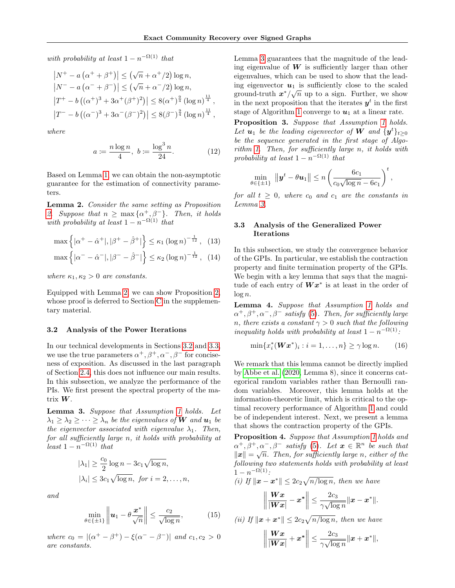with probability at least  $1 - n^{-\Omega(1)}$  that

$$
|N^+ - a(\alpha^+ + \beta^+)| \le (\sqrt{n} + \alpha^+/2) \log n,
$$
  
\n
$$
|N^- - a(\alpha^- + \beta^-)| \le (\sqrt{n} + \alpha^-/2) \log n,
$$
  
\n
$$
|T^+ - b((\alpha^+)^3 + 3\alpha^+(\beta^+)^2)| \le 8(\alpha^+)^{\frac{9}{4}} (\log n)^{\frac{11}{4}},
$$
  
\n
$$
|T^- - b((\alpha^-)^3 + 3\alpha^-(\beta^-)^2)| \le 8(\beta^-)^{\frac{9}{4}} (\log n)^{\frac{11}{4}},
$$

where

$$
a := \frac{n \log n}{4}, \ b := \frac{\log^3 n}{24}.
$$
 (12)

Based on Lemma [1,](#page-4-4) we can obtain the non-asymptotic guarantee for the estimation of connectivity parameters.

<span id="page-5-3"></span>Lemma 2. Consider the same setting as Proposition [2.](#page-3-4) Suppose that  $n \geq \max{\{\alpha^+, \beta^-\}}$ . Then, it holds with probability at least  $1 - n^{-\Omega(1)}$  that

$$
\max \left\{ |\alpha^{+} - \hat{\alpha}^{+}|, |\beta^{+} - \hat{\beta}^{+}| \right\} \le \kappa_1 (\log n)^{-\frac{1}{12}}, \quad (13)
$$

$$
\max \left\{ |\alpha^{-} - \hat{\alpha}^{-}|, |\beta^{-} - \hat{\beta}^{-}| \right\} \le \kappa_2 (\log n)^{-\frac{1}{12}}, \quad (14)
$$

where  $\kappa_1, \kappa_2 > 0$  are constants.

Equipped with Lemma [2,](#page-5-3) we can show Proposition [2,](#page-3-4) whose proof is deferred to Section [C](#page-15-0) in the supplementary material.

### <span id="page-5-1"></span>3.2 Analysis of the Power Iterations

In our technical developments in Sections [3.2](#page-5-1) and [3.3,](#page-5-2) we use the true parameters  $\alpha^+, \beta^+, \alpha^-, \beta^-$  for conciseness of exposition. As discussed in the last paragraph of Section [2.4,](#page-4-5) this does not influence our main results. In this subsection, we analyze the performance of the PIs. We first present the spectral property of the matrix W.

<span id="page-5-4"></span>Lemma 3. Suppose that Assumption [1](#page-2-3) holds. Let  $\lambda_1 \geq \lambda_2 \geq \cdots \geq \lambda_n$  be the eigenvalues of **W** and **u**<sub>1</sub> be the eigenvector associated with eigenvalue  $\lambda_1$ . Then, for all sufficiently large n, it holds with probability at least  $1 - n^{-\Omega(1)}$  that

$$
|\lambda_1| \ge \frac{c_0}{2} \log n - 3c_1 \sqrt{\log n},
$$
  

$$
|\lambda_i| \le 3c_1 \sqrt{\log n}, \text{ for } i = 2, ..., n,
$$

and

$$
\min_{\theta \in \{\pm 1\}} \left\| \boldsymbol{u}_1 - \theta \frac{\boldsymbol{x}^*}{\sqrt{n}} \right\| \le \frac{c_2}{\sqrt{\log n}},\tag{15}
$$

where  $c_0 = |(\alpha^+ - \beta^+) - \xi(\alpha^- - \beta^-)|$  and  $c_1, c_2 > 0$ are constants.

Lemma [3](#page-5-4) guarantees that the magnitude of the leading eigenvalue of  $W$  is sufficiently larger than other eigenvalues, which can be used to show that the leading eigenvector  $u_1$  is sufficiently close to the scaled ground-truth  $x^*/\sqrt{n}$  up to a sign. Further, we show in the next proposition that the iterates  $y^t$  in the first stage of Algorithm [1](#page-4-0) converge to  $u_1$  at a linear rate.

<span id="page-5-7"></span><span id="page-5-0"></span>Proposition 3. Suppose that Assumption [1](#page-2-3) holds. Let  $u_1$  be the leading eigenvector of W and  $\{y^t\}_{t\geq 0}$ be the sequence generated in the first stage of Algorithm [1.](#page-4-0) Then, for sufficiently large n, it holds with probability at least  $1 - n^{-\Omega(1)}$  that

$$
\min_{\theta \in \{\pm 1\}} \|y^t - \theta u_1\| \le n \left(\frac{6c_1}{c_0\sqrt{\log n} - 6c_1}\right)^t,
$$

for all  $t \geq 0$ , where  $c_0$  and  $c_1$  are the constants in Lemma [3.](#page-5-4)

### <span id="page-5-2"></span>3.3 Analysis of the Generalized Power Iterations

In this subsection, we study the convergence behavior of the GPIs. In particular, we establish the contraction property and finite termination property of the GPIs. We begin with a key lemma that says that the magnitude of each entry of  $\boldsymbol{W}\boldsymbol{x}^*$  is at least in the order of  $\log n$ .

<span id="page-5-5"></span>Lemma 4. Suppose that Assumption [1](#page-2-3) holds and  $\alpha^+, \beta^+, \alpha^-, \beta^-$  satisfy [\(5\)](#page-2-4). Then, for sufficiently large n, there exists a constant  $\gamma > 0$  such that the following inequality holds with probability at least  $1 - n^{-\Omega(1)}$ :

<span id="page-5-9"></span>
$$
\min\{x_i^*(\mathbf{W}\mathbf{x}^*)_i : i = 1,\ldots,n\} \ge \gamma \log n. \tag{16}
$$

We remark that this lemma cannot be directly implied by [Abbe et al.](#page-8-12) [\(2020,](#page-8-12) Lemma 8), since it concerns categorical random variables rather than Bernoulli random variables. Moreover, this lemma holds at the information-theoretic limit, which is critical to the optimal recovery performance of Algorithm [1](#page-4-0) and could be of independent interest. Next, we present a lemma that shows the contraction property of the GPIs.

<span id="page-5-6"></span>Proposition 4. Suppose that Assumption [1](#page-2-3) holds and  $\alpha^+, \beta^+, \alpha^-, \beta^-$  satisfy [\(5\)](#page-2-4). Let  $\mathbf{x} \in \mathbb{R}^n$  be such that  $||x|| = \sqrt{n}$ . Then, for sufficiently large n, either of the following two statements holds with probability at least  $1 - n^{-\Omega(1)}$ :

(i) If 
$$
||\mathbf{x} - \mathbf{x}^*|| \le 2c_2 \sqrt{n/\log n}
$$
, then we have  

$$
\left\| \frac{\mathbf{Wx}}{|\mathbf{Wx}|} - \mathbf{x}^* \right\| \le \frac{2c_3}{\gamma \sqrt{\log n}} ||\mathbf{x} - \mathbf{x}^*||.
$$

<span id="page-5-8"></span>(ii) If 
$$
||\boldsymbol{x} + \boldsymbol{x}^*|| \leq 2c_2 \sqrt{n/\log n}
$$
, then we have

$$
\left\|\frac{\boldsymbol{Wx}}{|\boldsymbol{Wx}|}+\boldsymbol{x}^*\right\| \leq \frac{2c_3}{\gamma\sqrt{\log n}}\|\boldsymbol{x}+\boldsymbol{x}^*\|,
$$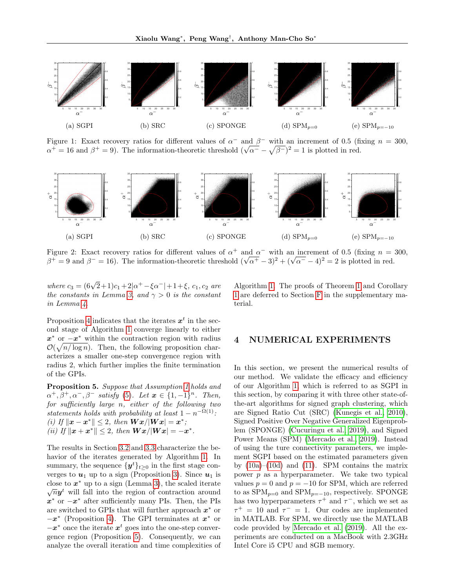<span id="page-6-1"></span>

Figure 1: Exact recovery ratios for different values of  $\alpha^-$  and  $\beta^-$  with an increment of 0.5 (fixing  $n = 300$ , Figure 1: Exact recovery ratios for different values of  $\alpha$  and  $\beta$  with an increment of 0.5 (find  $\alpha^+ = 16$  and  $\beta^+ = 9$ ). The information-theoretic threshold  $(\sqrt{\alpha^-} - \sqrt{\beta^-})^2 = 1$  is plotted in red.

<span id="page-6-2"></span>

Figure 2: Exact recovery ratios for different values of  $\alpha^+$  and  $\alpha^-$  with an increment of 0.5 (fixing  $n = 300$ , Figure 2: Exact recovery ratios for different values of  $\alpha^+$  and  $\alpha^-$  with an increment of 0.5 (fixing  $n = \beta^+ = 9$  and  $\beta^- = 16$ ). The information-theoretic threshold  $(\sqrt{\alpha^+} - 3)^2 + (\sqrt{\alpha^-} - 4)^2 = 2$  is plotted in red.

where  $c_3 = (6\sqrt{2}+1)c_1+2|\alpha^+ - \xi \alpha^-|+1+\xi, c_1, c_2$  are the constants in Lemma [3,](#page-5-4) and  $\gamma > 0$  is the constant in Lemma [4.](#page-5-5)

Proposition [4](#page-5-6) indicates that the iterates  $x^t$  in the second stage of Algorithm [1](#page-4-0) converge linearly to either  $x^*$  or  $-x^*$  within the contraction region with radius  $\mathcal{O}(\sqrt{n/\log n})$ . Then, the following proposition characterizes a smaller one-step convergence region with radius 2, which further implies the finite termination of the GPIs.

<span id="page-6-0"></span>Proposition 5. Suppose that Assumption [1](#page-2-3) holds and  $\alpha^+, \beta^+, \alpha^-, \beta^-$  satisfy [\(5\)](#page-2-4). Let  $\mathbf{x} \in \{1, -1\}^n$ . Then, for sufficiently large n, either of the following two statements holds with probability at least  $1 - n^{-\Omega(1)}$ : (i) If  $\|\boldsymbol{x} - \boldsymbol{x}^*\| \leq 2$ , then  $\boldsymbol{W}\boldsymbol{x}/|\boldsymbol{W}\boldsymbol{x}| = \boldsymbol{x}^*$ ; (ii) If  $\|\boldsymbol{x} + \boldsymbol{x}^*\| \leq 2$ , then  $\boldsymbol{W}\boldsymbol{x}/|\boldsymbol{W}\boldsymbol{x}| = -\boldsymbol{x}^*$ .

The results in Section [3.2](#page-5-1) and [3.3](#page-5-2) characterize the behavior of the iterates generated by Algorithm [1.](#page-4-0) In summary, the sequence  $\{y^t\}_{t\geq 0}$  in the first stage converges to  $u_1$  up to a sign (Proposition [3\)](#page-5-0). Since  $u_1$  is close to  $x^*$  up to a sign (Lemma [3\)](#page-5-4), the scaled iterate  $\overline{n}y^t$  will fall into the region of contraction around  $x^*$  or  $-x^*$  after sufficiently many PIs. Then, the PIs are switched to GPIs that will further approach  $x^*$  or  $-x^*$  (Proposition [4\)](#page-5-6). The GPI terminates at  $x^*$  or  $-x^*$  once the iterate  $x^t$  goes into the one-step convergence region (Proposition [5\)](#page-6-0). Consequently, we can analyze the overall iteration and time complexities of Algorithm [1.](#page-4-0) The proofs of Theorem [1](#page-4-1) and Corollary [1](#page-4-2) are deferred to Section [F](#page-23-0) in the supplementary material.

### 4 NUMERICAL EXPERIMENTS

In this section, we present the numerical results of our method. We validate the efficacy and efficiency of our Algorithm [1,](#page-4-0) which is referred to as SGPI in this section, by comparing it with three other state-ofthe-art algorithms for signed graph clustering, which are Signed Ratio Cut (SRC) [\(Kunegis et al., 2010\)](#page-9-5), Signed Positive Over Negative Generalized Eigenproblem (SPONGE) [\(Cucuringu et al., 2019\)](#page-9-7), and Signed Power Means (SPM) [\(Mercado et al., 2019\)](#page-9-8). Instead of using the ture connectivity parameters, we implement SGPI based on the estimated parameters given by  $(10a)$ – $(10d)$  and  $(11)$ . SPM contains the matrix power  $p$  as a hyperparameter. We take two typical values  $p = 0$  and  $p = -10$  for SPM, which are referred to as  $SPM_{p=0}$  and  $SPM_{p=-10}$ , respectively. SPONGE has two hyperparameters  $\tau^+$  and  $\tau^-$ , which we set as  $\tau^+ = 10$  and  $\tau^- = 1$ . Our codes are implemented in MATLAB. For SPM, we directly use the MATLAB code provided by [Mercado et al.](#page-9-8) [\(2019\)](#page-9-8). All the experiments are conducted on a MacBook with 2.3GHz Intel Core i5 CPU and 8GB memory.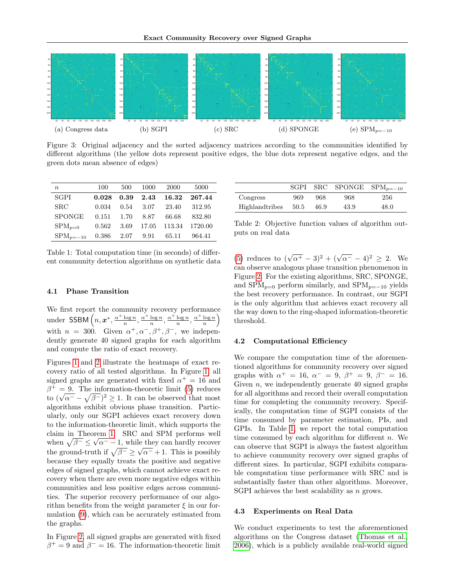<span id="page-7-1"></span>

Figure 3: Original adjacency and the sorted adjacency matrices according to the communities identified by different algorithms (the yellow dots represent positive edges, the blue dots represent negative edges, and the green dots mean absence of edges)

<span id="page-7-0"></span>

| $\boldsymbol{n}$ | 100   | 500  | 1000                          | 2000         | 5000         |
|------------------|-------|------|-------------------------------|--------------|--------------|
| SGPI             | 0.028 |      | $0.39$ 2.43                   |              | 16.32 267.44 |
| <b>SRC</b>       | 0.034 |      | $0.54$ 3.07                   | 23.40        | 312.95       |
| <b>SPONGE</b>    | 0.151 |      | 1.70 8.87                     | 66.68        | 832.80       |
| $SPM_{p=0}$      | 0.562 | 3.69 |                               | 17.05 113.34 | 1720.00      |
| $SPM_{p=-10}$    |       |      | $0.386$ $2.07$ $9.91$ $65.11$ |              | 964.41       |

Table 1: Total computation time (in seconds) of different community detection algorithms on synthetic data

#### 4.1 Phase Transition

We first report the community recovery performance under SSBM  $\left(n, x^*, \frac{\alpha^+ \log n}{n}, \frac{\alpha^+ \log n}{n}, \frac{\alpha^+ \log n}{n}, \frac{\alpha^+ \log n}{n}\right)$ with  $n = 300$ . Given  $\alpha^+, \alpha^-, \beta^+, \beta^-,$  we independently generate 40 signed graphs for each algorithm and compute the ratio of exact recovery.

Figures [1](#page-6-1) and [2](#page-6-2) illustrate the heatmaps of exact recovery ratio of all tested algorithms. In Figure [1,](#page-6-1) all signed graphs are generated with fixed  $\alpha^+ = 16$  and  $\beta^+ = 9$ . The information-theoretic limit [\(5\)](#page-2-4) reduces  $\beta^+ = 9$ . The information-theoretic limit (5) reduces<br>to  $(\sqrt{\alpha^-} - \sqrt{\beta^-})^2 \ge 1$ . It can be observed that most algorithms exhibit obvious phase transition. Particularly, only our SGPI achieves exact recovery down to the information-theoretic limit, which supports the claim in Theorem [1.](#page-4-1) SRC and SPM performs well when  $\sqrt{\beta^-} \leq \sqrt{\alpha^-} - 1$ , while they can hardly recover the ground-truth if  $\sqrt{\beta^-} \ge \sqrt{\alpha^-} + 1$ . This is possibly because they equally treats the positive and negative edges of signed graphs, which cannot achieve exact recovery when there are even more negative edges within communities and less positive edges across communities. The superior recovery performance of our algorithm benefits from the weight parameter  $\xi$  in our formulation [\(9\)](#page-3-3), which can be accurately estimated from the graphs.

In Figure [2,](#page-6-2) all signed graphs are generated with fixed  $\beta^+ = 9$  and  $\beta^- = 16$ . The information-theoretic limit

<span id="page-7-2"></span>

|                | SGPL |      |      | SRC SPONGE $SPM_{p=-10}$ |
|----------------|------|------|------|--------------------------|
| Congress       | 969  | 968  | 968  | 256                      |
| Highlandtribes | 50.5 | 46.9 | 43.9 | 48.0                     |

Table 2: Objective function values of algorithm outputs on real data

[\(5\)](#page-2-4) reduces to  $(\sqrt{\alpha^+} - 3)^2 + (\sqrt{\alpha^-} - 4)^2 \geq 2$ . We can observe analogous phase transition phenomenon in Figure [2.](#page-6-2) For the existing algorithms, SRC, SPONGE, and  $SPM_{p=0}$  perform similarly, and  $SPM_{p=-10}$  yields the best recovery performance. In contrast, our SGPI is the only algorithm that achieves exact recovery all the way down to the ring-shaped information-theoretic threshold.

### 4.2 Computational Efficiency

We compare the computation time of the aforementioned algorithms for community recovery over signed graphs with  $\alpha^+ = 16$ ,  $\alpha^- = 9$ ,  $\beta^+ = 9$ ,  $\beta^- = 16$ . Given  $n$ , we independently generate 40 signed graphs for all algorithms and record their overall computation time for completing the community recovery. Specifically, the computation time of SGPI consists of the time consumed by parameter estimation, PIs, and GPIs. In Table [1,](#page-7-0) we report the total computation time consumed by each algorithm for different  $n$ . We can observe that SGPI is always the fastest algorithm to achieve community recovery over signed graphs of different sizes. In particular, SGPI exhibits comparable computation time performance with SRC and is substantially faster than other algorithms. Moreover, SGPI achieves the best scalability as *n* grows.

#### 4.3 Experiments on Real Data

We conduct experiments to test the aforementioned algorithms on the Congress dataset [\(Thomas et al.,](#page-9-21) [2006\)](#page-9-21), which is a publicly available real-world signed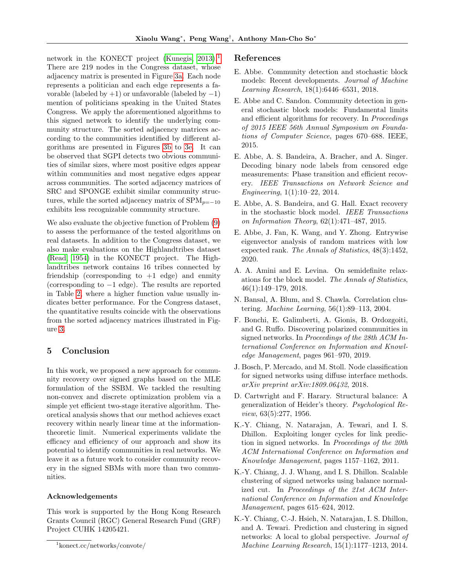network in the KONECT project (Kunegis,  $2013$  $2013$  $2013$ ).<sup>1</sup> There are 219 nodes in the Congress dataset, whose adjacency matrix is presented in Figure [3a.](#page-7-1) Each node represents a politician and each edge represents a favorable (labeled by  $+1$ ) or unfavorable (labeled by  $-1$ ) mention of politicians speaking in the United States Congress. We apply the aforementioned algorithms to this signed network to identify the underlying community structure. The sorted adjacency matrices according to the communities identified by different algorithms are presented in Figures [3b](#page-7-1) to [3e.](#page-7-1) It can be observed that SGPI detects two obvious communities of similar sizes, where most positive edges appear within communities and most negative edges appear across communities. The sorted adjacency matrices of SRC and SPONGE exhibit similar community structures, while the sorted adjacency matrix of  $SPM_{p=-10}$ exhibits less recognizable community structure.

We also evaluate the objective function of Problem [\(9\)](#page-3-3) to assess the performance of the tested algorithms on real datasets. In addition to the Congress dataset, we also make evaluations on the Highlandtribes dataset [\(Read, 1954\)](#page-9-23) in the KONECT project. The Highlandtribes network contains 16 tribes connected by friendship (corresponding to  $+1$  edge) and enmity (corresponding to −1 edge). The results are reported in Table [2,](#page-7-2) where a higher function value usually indicates better performance. For the Congress dataset, the quantitative results coincide with the observations from the sorted adjacency matrices illustrated in Figure [3.](#page-7-1)

# 5 Conclusion

In this work, we proposed a new approach for community recovery over signed graphs based on the MLE formulation of the SSBM. We tackled the resulting non-convex and discrete optimization problem via a simple yet efficient two-stage iterative algorithm. Theoretical analysis shows that our method achieves exact recovery within nearly linear time at the informationtheoretic limit. Numerical experiments validate the efficacy and efficiency of our approach and show its potential to identify communities in real networks. We leave it as a future work to consider community recovery in the signed SBMs with more than two communities.

#### Acknowledgements

This work is supported by the Hong Kong Research Grants Council (RGC) General Research Fund (GRF) Project CUHK 14205421.

### References

- <span id="page-8-7"></span>E. Abbe. Community detection and stochastic block models: Recent developments. Journal of Machine Learning Research, 18(1):6446–6531, 2018.
- <span id="page-8-9"></span>E. Abbe and C. Sandon. Community detection in general stochastic block models: Fundamental limits and efficient algorithms for recovery. In Proceedings of 2015 IEEE 56th Annual Symposium on Foundations of Computer Science, pages 670–688. IEEE, 2015.
- <span id="page-8-11"></span>E. Abbe, A. S. Bandeira, A. Bracher, and A. Singer. Decoding binary node labels from censored edge measurements: Phase transition and efficient recovery. IEEE Transactions on Network Science and Engineering, 1(1):10–22, 2014.
- <span id="page-8-8"></span>E. Abbe, A. S. Bandeira, and G. Hall. Exact recovery in the stochastic block model. IEEE Transactions on Information Theory, 62(1):471–487, 2015.
- <span id="page-8-12"></span>E. Abbe, J. Fan, K. Wang, and Y. Zhong. Entrywise eigenvector analysis of random matrices with low expected rank. The Annals of Statistics, 48(3):1452, 2020.
- <span id="page-8-10"></span>A. A. Amini and E. Levina. On semidefinite relaxations for the block model. The Annals of Statistics, 46(1):149–179, 2018.
- <span id="page-8-5"></span>N. Bansal, A. Blum, and S. Chawla. Correlation clustering. Machine Learning, 56(1):89–113, 2004.
- <span id="page-8-6"></span>F. Bonchi, E. Galimberti, A. Gionis, B. Ordozgoiti, and G. Ruffo. Discovering polarized communities in signed networks. In Proceedings of the 28th ACM International Conference on Information and Knowledge Management, pages 961–970, 2019.
- <span id="page-8-4"></span>J. Bosch, P. Mercado, and M. Stoll. Node classification for signed networks using diffuse interface methods. arXiv preprint arXiv:1809.06432, 2018.
- <span id="page-8-0"></span>D. Cartwright and F. Harary. Structural balance: A generalization of Heider's theory. Psychological Review, 63(5):277, 1956.
- <span id="page-8-2"></span>K.-Y. Chiang, N. Natarajan, A. Tewari, and I. S. Dhillon. Exploiting longer cycles for link prediction in signed networks. In Proceedings of the 20th ACM International Conference on Information and Knowledge Management, pages 1157–1162, 2011.
- <span id="page-8-1"></span>K.-Y. Chiang, J. J. Whang, and I. S. Dhillon. Scalable clustering of signed networks using balance normalized cut. In Proceedings of the 21st ACM International Conference on Information and Knowledge Management, pages 615–624, 2012.
- <span id="page-8-3"></span>K.-Y. Chiang, C.-J. Hsieh, N. Natarajan, I. S. Dhillon, and A. Tewari. Prediction and clustering in signed networks: A local to global perspective. Journal of Machine Learning Research, 15(1):1177–1213, 2014.

<span id="page-8-13"></span><sup>1</sup> konect.cc/networks/convote/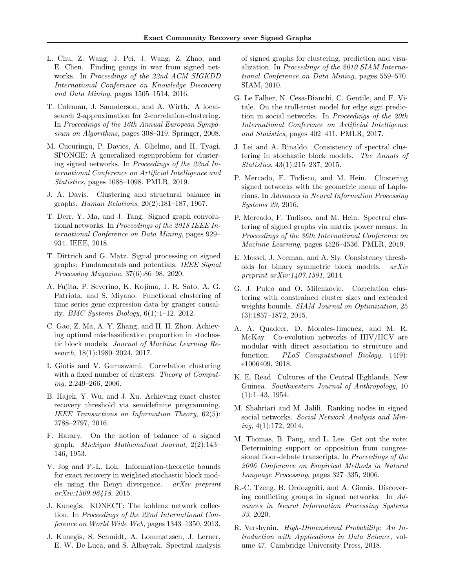- <span id="page-9-16"></span>L. Chu, Z. Wang, J. Pei, J. Wang, Z. Zhao, and E. Chen. Finding gangs in war from signed networks. In Proceedings of the 22nd ACM SIGKDD International Conference on Knowledge Discovery and Data Mining, pages 1505–1514, 2016.
- <span id="page-9-14"></span>T. Coleman, J. Saunderson, and A. Wirth. A localsearch 2-approximation for 2-correlation-clustering. In Proceedings of the 16th Annual European Symposium on Algorithms, pages 308–319. Springer, 2008.
- <span id="page-9-7"></span>M. Cucuringu, P. Davies, A. Glielmo, and H. Tyagi. SPONGE: A generalized eigenproblem for clustering signed networks. In Proceedings of the 22nd International Conference on Artificial Intelligence and Statistics, pages 1088–1098. PMLR, 2019.
- <span id="page-9-1"></span>J. A. Davis. Clustering and structural balance in graphs. Human Relations, 20(2):181–187, 1967.
- <span id="page-9-11"></span>T. Derr, Y. Ma, and J. Tang. Signed graph convolutional networks. In Proceedings of the 2018 IEEE International Conference on Data Mining, pages 929– 934. IEEE, 2018.
- <span id="page-9-2"></span>T. Dittrich and G. Matz. Signal processing on signed graphs: Fundamentals and potentials. IEEE Signal Processing Magazine, 37(6):86–98, 2020.
- <span id="page-9-3"></span>A. Fujita, P. Severino, K. Kojima, J. R. Sato, A. G. Patriota, and S. Miyano. Functional clustering of time series gene expression data by granger causality. BMC Systems Biology, 6(1):1–12, 2012.
- <span id="page-9-20"></span>C. Gao, Z. Ma, A. Y. Zhang, and H. H. Zhou. Achieving optimal misclassification proportion in stochastic block models. Journal of Machine Learning Research, 18(1):1980–2024, 2017.
- <span id="page-9-13"></span>I. Giotis and V. Guruswami. Correlation clustering with a fixed number of clusters. Theory of Computing, 2:249–266, 2006.
- <span id="page-9-19"></span>B. Hajek, Y. Wu, and J. Xu. Achieving exact cluster recovery threshold via semidefinite programming. IEEE Transactions on Information Theory, 62(5): 2788–2797, 2016.
- <span id="page-9-0"></span>F. Harary. On the notion of balance of a signed graph. Michigan Mathematical Journal, 2(2):143– 146, 1953.
- <span id="page-9-12"></span>V. Jog and P.-L. Loh. Information-theoretic bounds for exact recovery in weighted stochastic block models using the Renyi divergence. arXiv preprint arXiv:1509.06418, 2015.
- <span id="page-9-22"></span>J. Kunegis. KONECT: The koblenz network collection. In Proceedings of the 22nd International Conference on World Wide Web, pages 1343–1350, 2013.
- <span id="page-9-5"></span>J. Kunegis, S. Schmidt, A. Lommatzsch, J. Lerner, E. W. De Luca, and S. Albayrak. Spectral analysis

of signed graphs for clustering, prediction and visualization. In Proceedings of the 2010 SIAM International Conference on Data Mining, pages 559–570. SIAM, 2010.

- <span id="page-9-10"></span>G. Le Falher, N. Cesa-Bianchi, C. Gentile, and F. Vitale. On the troll-trust model for edge sign prediction in social networks. In Proceedings of the 20th International Conference on Artificial Intelligence and Statistics, pages 402–411. PMLR, 2017.
- <span id="page-9-25"></span>J. Lei and A. Rinaldo. Consistency of spectral clustering in stochastic block models. The Annals of Statistics, 43(1):215–237, 2015.
- <span id="page-9-6"></span>P. Mercado, F. Tudisco, and M. Hein. Clustering signed networks with the geometric mean of Laplacians. In Advances in Neural Information Processing Systems 29, 2016.
- <span id="page-9-8"></span>P. Mercado, F. Tudisco, and M. Hein. Spectral clustering of signed graphs via matrix power means. In Proceedings of the 36th International Conference on Machine Learning, pages 4526–4536. PMLR, 2019.
- <span id="page-9-18"></span>E. Mossel, J. Neeman, and A. Sly. Consistency thresholds for binary symmetric block models. arXiv preprint arXiv:1407.1591, 2014.
- <span id="page-9-15"></span>G. J. Puleo and O. Milenkovic. Correlation clustering with constrained cluster sizes and extended weights bounds. SIAM Journal on Optimization, 25 (3):1857–1872, 2015.
- <span id="page-9-4"></span>A. A. Quadeer, D. Morales-Jimenez, and M. R. McKay. Co-evolution networks of HIV/HCV are modular with direct association to structure and function. PLoS Computational Biology, 14(9): e1006409, 2018.
- <span id="page-9-23"></span>K. E. Read. Cultures of the Central Highlands, New Guinea. Southwestern Journal of Anthropology, 10 (1):1–43, 1954.
- <span id="page-9-9"></span>M. Shahriari and M. Jalili. Ranking nodes in signed social networks. Social Network Analysis and Mining, 4(1):172, 2014.
- <span id="page-9-21"></span>M. Thomas, B. Pang, and L. Lee. Get out the vote: Determining support or opposition from congressional floor-debate transcripts. In Proceedings of the 2006 Conference on Empirical Methods in Natural Language Processing, pages 327–335, 2006.
- <span id="page-9-17"></span>R.-C. Tzeng, B. Ordozgoiti, and A. Gionis. Discovering conflicting groups in signed networks. In Advances in Neural Information Processing Systems 33, 2020.
- <span id="page-9-24"></span>R. Vershynin. High-Dimensional Probability: An Introduction with Applications in Data Science, volume 47. Cambridge University Press, 2018.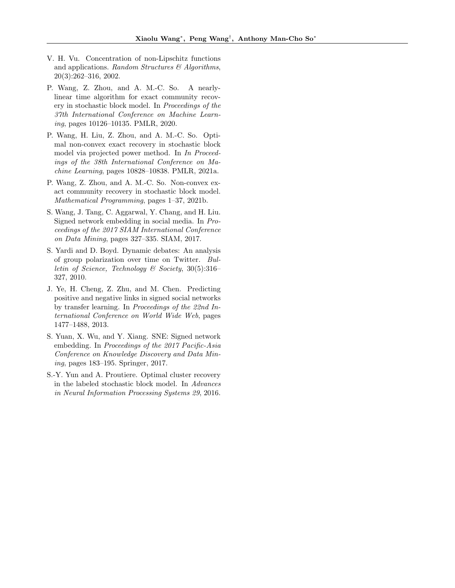- <span id="page-10-8"></span>V. H. Vu. Concentration of non-Lipschitz functions and applications. Random Structures  $\mathcal{B}$  Algorithms, 20(3):262–316, 2002.
- <span id="page-10-5"></span>P. Wang, Z. Zhou, and A. M.-C. So. A nearlylinear time algorithm for exact community recovery in stochastic block model. In Proceedings of the 37th International Conference on Machine Learning, pages 10126–10135. PMLR, 2020.
- <span id="page-10-6"></span>P. Wang, H. Liu, Z. Zhou, and A. M.-C. So. Optimal non-convex exact recovery in stochastic block model via projected power method. In In Proceedings of the 38th International Conference on Machine Learning, pages 10828–10838. PMLR, 2021a.
- <span id="page-10-7"></span>P. Wang, Z. Zhou, and A. M.-C. So. Non-convex exact community recovery in stochastic block model. Mathematical Programming, pages 1–37, 2021b.
- <span id="page-10-3"></span>S. Wang, J. Tang, C. Aggarwal, Y. Chang, and H. Liu. Signed network embedding in social media. In Proceedings of the 2017 SIAM International Conference on Data Mining, pages 327–335. SIAM, 2017.
- <span id="page-10-0"></span>S. Yardi and D. Boyd. Dynamic debates: An analysis of group polarization over time on Twitter. Bulletin of Science, Technology & Society, 30(5):316– 327, 2010.
- <span id="page-10-1"></span>J. Ye, H. Cheng, Z. Zhu, and M. Chen. Predicting positive and negative links in signed social networks by transfer learning. In Proceedings of the 22nd International Conference on World Wide Web, pages 1477–1488, 2013.
- <span id="page-10-2"></span>S. Yuan, X. Wu, and Y. Xiang. SNE: Signed network embedding. In Proceedings of the 2017 Pacific-Asia Conference on Knowledge Discovery and Data Mining, pages 183–195. Springer, 2017.
- <span id="page-10-4"></span>S.-Y. Yun and A. Proutiere. Optimal cluster recovery in the labeled stochastic block model. In Advances in Neural Information Processing Systems 29, 2016.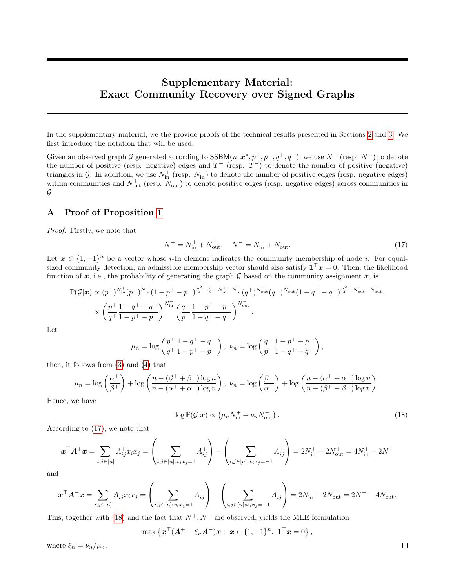# Supplementary Material: Exact Community Recovery over Signed Graphs

In the supplementary material, we the provide proofs of the technical results presented in Sections [2](#page-2-5) and [3.](#page-4-6) We first introduce the notation that will be used.

Given an observed graph G generated according to  $SSBM(n, x^*, p^+, p^-, q^+, q^-)$ , we use  $N^+$  (resp.  $N^-$ ) to denote the number of positive (resp. negative) edges and  $T^+$  (resp.  $T^-$ ) to denote the number of positive (negative) triangles in G. In addition, we use  $N_{\text{in}}^+$  (resp.  $N_{\text{in}}^-$ ) to denote the number of positive edges (resp. negative edges) within communities and  $N_{\text{out}}^+$  (resp.  $N_{\text{out}}^-$ ) to denote positive edges (resp. negative edges) across communities in G.

# <span id="page-11-0"></span>A Proof of Proposition [1](#page-3-2)

Proof. Firstly, we note that

<span id="page-11-1"></span>
$$
N^{+} = N_{\text{in}}^{+} + N_{\text{out}}^{+}, \quad N^{-} = N_{\text{in}}^{-} + N_{\text{out}}^{-}.
$$
\n
$$
(17)
$$

Let  $x \in \{1, -1\}^n$  be a vector whose *i*-th element indicates the community membership of node *i*. For equalsized community detection, an admissible membership vector should also satisfy  $\mathbf{1}^\top x = 0$ . Then, the likelihood function of x, i.e., the probability of generating the graph G based on the community assignment x, is

$$
\mathbb{P}(\mathcal{G}|\boldsymbol{x}) \propto (p^+)^{N_{\text{in}}^+}(p^-)^{N_{\text{in}}^-}(1-p^+-p^-)^{\frac{n^2}{4}-\frac{n}{2}-N_{\text{in}}^+-N_{\text{in}}^-}(q^+)^{N_{\text{out}}^+}(q^-)^{N_{\text{out}}^-}(1-q^+-q^-)^{\frac{n^2}{4}-N_{\text{out}}^+-N_{\text{out}}^-}}_{\propto (\frac{p^+}{q^+}\frac{1-q^+-q^-}{1-p^+-p^-})^{N_{\text{in}}^+}(\frac{q^-}{p^-}\frac{1-p^+-p^-}{1-q^+-q^-})^{N_{\text{out}}^-}}.
$$

Let

$$
\mu_n = \log \left( \frac{p^+}{q^+} \frac{1 - q^+ - q^-}{1 - p^+ - p^-} \right), \quad \nu_n = \log \left( \frac{q^-}{p^-} \frac{1 - p^+ - p^-}{1 - q^+ - q^-} \right),
$$

then, it follows from [\(3\)](#page-2-1) and [\(4\)](#page-2-2) that

$$
\mu_n = \log\left(\frac{\alpha^+}{\beta^+}\right) + \log\left(\frac{n - (\beta^+ + \beta^-)\log n}{n - (\alpha^+ + \alpha^-)\log n}\right), \quad \nu_n = \log\left(\frac{\beta^-}{\alpha^-}\right) + \log\left(\frac{n - (\alpha^+ + \alpha^-)\log n}{n - (\beta^+ + \beta^-)\log n}\right).
$$

Hence, we have

<span id="page-11-2"></span>
$$
\log \mathbb{P}(\mathcal{G}|\boldsymbol{x}) \propto \left(\mu_n N_{\text{in}}^+ + \nu_n N_{\text{out}}^- \right). \tag{18}
$$

According to [\(17\)](#page-11-1), we note that

$$
\boldsymbol{x}^{\top} \boldsymbol{A}^{+} \boldsymbol{x} = \sum_{i,j \in [n]} A^{+}_{ij} x_{i} x_{j} = \left( \sum_{i,j \in [n]: x_{i} x_{j} = 1} A^{+}_{ij} \right) - \left( \sum_{i,j \in [n]: x_{i} x_{j} = -1} A^{+}_{ij} \right) = 2N_{\text{in}}^{+} - 2N_{\text{out}}^{+} = 4N_{\text{in}}^{+} - 2N^{+}
$$

and

$$
\boldsymbol{x}^{\top} \boldsymbol{A}^{-} \boldsymbol{x} = \sum_{i,j \in [n]} A_{ij}^{-} x_i x_j = \left( \sum_{i,j \in [n]: x_i x_j = 1} A_{ij}^{-} \right) - \left( \sum_{i,j \in [n]: x_i x_j = -1} A_{ij}^{-} \right) = 2N_{\text{in}}^{-} - 2N_{\text{out}}^{-} = 2N^{-} - 4N_{\text{out}}^{-}.
$$

This, together with [\(18\)](#page-11-2) and the fact that  $N^+, N^-$  are observed, yields the MLE formulation

$$
\max \left\{ \boldsymbol{x}^{\top} (\boldsymbol{A}^+ - \xi_n \boldsymbol{A}^-) \boldsymbol{x}: \ \boldsymbol{x} \in \{1, -1\}^n, \ \boldsymbol{1}^{\top} \boldsymbol{x} = 0 \right\},
$$

where  $\xi_n = \nu_n / \mu_n$ .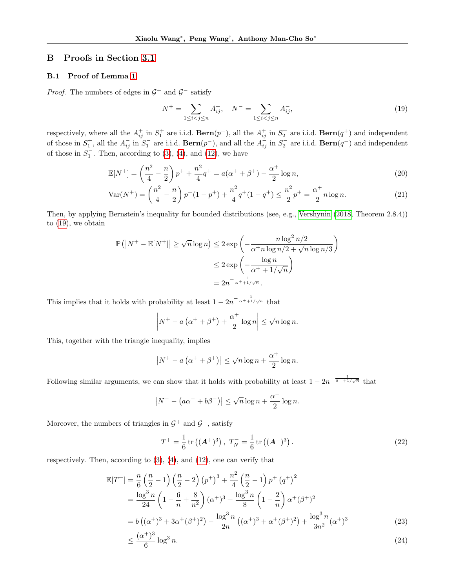## B Proofs in Section [3.1](#page-4-3)

### B.1 Proof of Lemma [1](#page-4-4)

*Proof.* The numbers of edges in  $\mathcal{G}^+$  and  $\mathcal{G}^-$  satisfy

<span id="page-12-3"></span><span id="page-12-0"></span>
$$
N^{+} = \sum_{1 \le i < j \le n} A_{ij}^{+}, \quad N^{-} = \sum_{1 \le i < j \le n} A_{ij}^{-},\tag{19}
$$

respectively, where all the  $A_{ij}^+$  in  $S_1^+$  are i.i.d.  $\textbf{Bern}(p^+)$ , all the  $A_{ij}^+$  in  $S_2^+$  are i.i.d.  $\textbf{Bern}(q^+)$  and independent of those in  $S_1^+$ , all the  $A_{ij}^-$  in  $S_1^-$  are i.i.d.  $\textbf{Bern}(p^-)$ , and all the  $A_{ij}^-$  in  $S_2^-$  are i.i.d.  $\textbf{Bern}(q^-)$  and independent of those in  $S_1^-$ . Then, according to [\(3\)](#page-2-1), [\(4\)](#page-2-2), and [\(12\)](#page-5-7), we have

$$
\mathbb{E}[N^+] = \left(\frac{n^2}{4} - \frac{n}{2}\right)p^+ + \frac{n^2}{4}q^+ = a(\alpha^+ + \beta^+) - \frac{\alpha^+}{2}\log n,\tag{20}
$$

$$
\text{Var}(N^+) = \left(\frac{n^2}{4} - \frac{n}{2}\right)p^+(1 - p^+) + \frac{n^2}{4}q^+(1 - q^+) \le \frac{n^2}{2}p^+ = \frac{\alpha^+}{2}n\log n. \tag{21}
$$

Then, by applying Bernstein's inequality for bounded distributions (see, e.g., [Vershynin](#page-9-24) [\(2018,](#page-9-24) Theorem 2.8.4)) to [\(19\)](#page-12-0), we obtain

$$
\mathbb{P}\left(\left|N^{+}-\mathbb{E}[N^{+}]\right|\geq\sqrt{n}\log n\right)\leq2\exp\left(-\frac{n\log^{2}n/2}{\alpha^{+}n\log n/2+\sqrt{n}\log n/3}\right)
$$

$$
\leq2\exp\left(-\frac{\log n}{\alpha^{+}+1/\sqrt{n}}\right)
$$

$$
=2n^{-\frac{1}{\alpha^{+}+1/\sqrt{n}}}.
$$

This implies that it holds with probability at least  $1 - 2n^{-\frac{1}{\alpha^+ + 1/\sqrt{n}}}$  that

$$
\left|N^+ - a\left(\alpha^+ + \beta^+\right) + \frac{\alpha^+}{2}\log n\right| \leq \sqrt{n}\log n.
$$

This, together with the triangle inequality, implies

$$
\left|N^+ - a\left(\alpha^+ + \beta^+\right)\right| \leq \sqrt{n}\log n + \frac{\alpha^+}{2}\log n.
$$

Following similar arguments, we can show that it holds with probability at least  $1 - 2n^{-\frac{1}{\beta^- + 1/\sqrt{n}}}$  that

$$
|N^- - (a\alpha^- + b\beta^-)| \le \sqrt{n} \log n + \frac{\alpha^-}{2} \log n.
$$

Moreover, the numbers of triangles in  $\mathcal{G}^+$  and  $\mathcal{G}^-$ , satisfy

<span id="page-12-2"></span><span id="page-12-1"></span>
$$
T^{+} = \frac{1}{6} \operatorname{tr} \left( (A^{+})^{3} \right), \ T_{N}^{-} = \frac{1}{6} \operatorname{tr} \left( (A^{-})^{3} \right). \tag{22}
$$

respectively. Then, according to  $(3)$ ,  $(4)$ , and  $(12)$ , one can verify that

$$
\mathbb{E}[T^+] = \frac{n}{6} \left(\frac{n}{2} - 1\right) \left(\frac{n}{2} - 2\right) (p^+)^3 + \frac{n^2}{4} \left(\frac{n}{2} - 1\right) p^+ (q^+)^2
$$
  
\n
$$
= \frac{\log^3 n}{24} \left(1 - \frac{6}{n} + \frac{8}{n^2}\right) (\alpha^+)^3 + \frac{\log^3 n}{8} \left(1 - \frac{2}{n}\right) \alpha^+ (\beta^+)^2
$$
  
\n
$$
= b \left((\alpha^+)^3 + 3\alpha^+ (\beta^+)^2\right) - \frac{\log^3 n}{2n} \left((\alpha^+)^3 + \alpha^+ (\beta^+)^2\right) + \frac{\log^3 n}{3n^2} (\alpha^+)^3
$$
 (23)

$$
\leq \frac{(\alpha^+)^3}{6} \log^3 n. \tag{24}
$$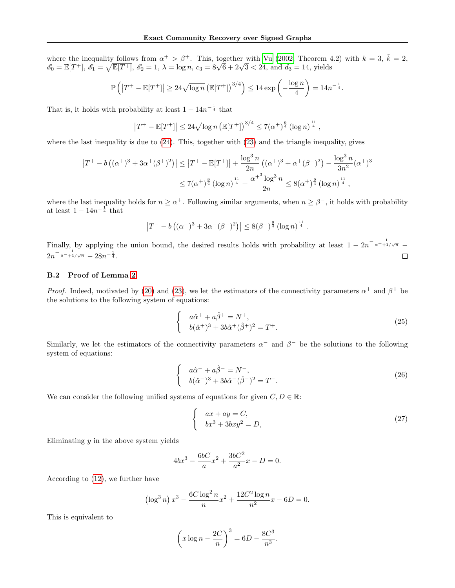where the inequality follows from  $\alpha^+ > \beta^+$ . This, together with [Vu](#page-10-8) [\(2002,](#page-10-8) Theorem 4.2) with  $k = 3$ ,  $\tilde{k} = 2$ , where the inequality follows from  $\alpha' > \beta'$ . This, together with Vu (2002, 1 heorem 4<br>  $\mathscr{E}_0 = \mathbb{E}[T^+]$ ,  $\mathscr{E}_1 = \sqrt{\mathbb{E}[T^+]}$ ,  $\mathscr{E}_2 = 1$ ,  $\lambda = \log n$ ,  $c_3 = 8\sqrt{6} + 2\sqrt{3} < 24$ , and  $d_3 = 14$ , yields

$$
\mathbb{P}\left(\left|T^+ - \mathbb{E}[T^+]\right| \geq 24\sqrt{\log n} \left(\mathbb{E}[T^+]\right)^{3/4}\right) \leq 14 \exp\left(-\frac{\log n}{4}\right) = 14n^{-\frac{1}{4}}.
$$

That is, it holds with probability at least  $1 - 14n^{-\frac{1}{4}}$  that

$$
\left|T^+ - \mathbb{E}[T^+]\right| \leq 24\sqrt{\log n} \left(\mathbb{E}[T^+]\right)^{3/4} \leq 7(\alpha^+)^{\frac{9}{4}} (\log n)^{\frac{11}{4}},
$$

where the last inequality is due to [\(24\)](#page-12-1). This, together with [\(23\)](#page-12-2) and the triangle inequality, gives

$$
\left|T^{+} - b\left((\alpha^{+})^{3} + 3\alpha^{+}(\beta^{+})^{2}\right)\right| \leq \left|T^{+} - \mathbb{E}[T^{+}]\right| + \frac{\log^{3} n}{2n} \left((\alpha^{+})^{3} + \alpha^{+}(\beta^{+})^{2}\right) - \frac{\log^{3} n}{3n^{2}} (\alpha^{+})^{3}
$$

$$
\leq 7(\alpha^{+})^{\frac{9}{4}} (\log n)^{\frac{11}{4}} + \frac{\alpha^{+3} \log^{3} n}{2n} \leq 8(\alpha^{+})^{\frac{9}{4}} (\log n)^{\frac{11}{4}},
$$

where the last inequality holds for  $n \ge \alpha^+$ . Following similar arguments, when  $n \ge \beta^-$ , it holds with probability at least  $1 - 14n^{-\frac{1}{4}}$  that

$$
\left|T^{-} - b\left((\alpha^{-})^3 + 3\alpha^{-}(\beta^{-})^2\right)\right| \le 8(\beta^{-})^{\frac{9}{4}}\left(\log n\right)^{\frac{11}{4}}.
$$

Finally, by applying the union bound, the desired results holds with probability at least  $1 - 2n^{-\frac{1}{\alpha^+ + 1/\sqrt{n}}}$  $2n^{-\frac{1}{\beta^-+1/\sqrt{n}}} - 28n^{-\frac{1}{4}}$ .  $\Box$ 

### B.2 Proof of Lemma [2](#page-5-3)

*Proof.* Indeed, motivated by [\(20\)](#page-12-3) and [\(23\)](#page-12-2), we let the estimators of the connectivity parameters  $\alpha^+$  and  $\beta^+$  be the solutions to the following system of equations:

$$
\begin{cases}\n a\hat{\alpha}^{+} + a\hat{\beta}^{+} = N^{+}, \\
 b(\hat{\alpha}^{+})^3 + 3b\hat{\alpha}^{+}(\hat{\beta}^{+})^2 = T^{+}.\n\end{cases}
$$
\n(25)

Similarly, we let the estimators of the connectivity parameters  $\alpha^-$  and  $\beta^-$  be the solutions to the following system of equations:

$$
\begin{cases}\n a\hat{\alpha}^- + a\hat{\beta}^- = N^-, \\
 b(\hat{\alpha}^-)^3 + 3b\hat{\alpha}^-(\hat{\beta}^-)^2 = T^-. \n\end{cases}
$$
\n(26)

We can consider the following unified systems of equations for given  $C, D \in \mathbb{R}$ :

<span id="page-13-0"></span>
$$
\begin{cases}\nax + ay = C, \\
bx^3 + 3bxy^2 = D,\n\end{cases}
$$
\n(27)

Eliminating  $y$  in the above system yields

$$
4bx^3 - \frac{6bC}{a}x^2 + \frac{3bC^2}{a^2}x - D = 0.
$$

According to [\(12\)](#page-5-7), we further have

$$
\left(\log^3 n\right) x^3 - \frac{6C \log^2 n}{n} x^2 + \frac{12C^2 \log n}{n^2} x - 6D = 0.
$$

This is equivalent to

$$
\left(x\log n - \frac{2C}{n}\right)^3 = 6D - \frac{8C^3}{n^3}.
$$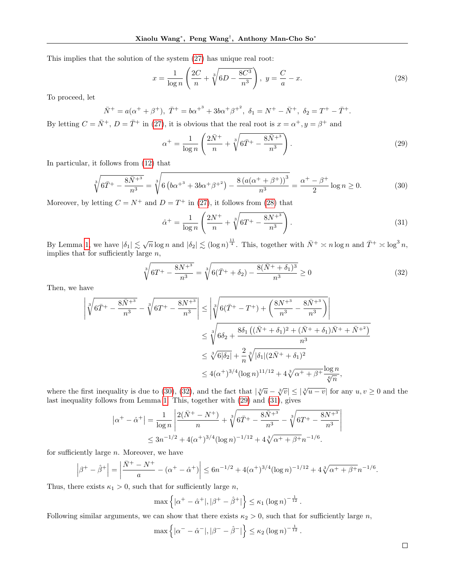This implies that the solution of the system [\(27\)](#page-13-0) has unique real root:

$$
x = \frac{1}{\log n} \left( \frac{2C}{n} + \sqrt[3]{6D - \frac{8C^3}{n^3}} \right), \ y = \frac{C}{a} - x.
$$
 (28)

To proceed, let

$$
\bar{N}^{+} = a(\alpha^{+} + \beta^{+}), \ \bar{T}^{+} = b\alpha^{+^{3}} + 3b\alpha^{+}\beta^{+^{2}}, \ \delta_{1} = N^{+} - \bar{N}^{+}, \ \delta_{2} = T^{+} - \bar{T}^{+}.
$$

By letting  $C = \overline{N}^+$ ,  $D = \overline{T}^+$  in [\(27\)](#page-13-0), it is obvious that the real root is  $x = \alpha^+$ ,  $y = \beta^+$  and

<span id="page-14-3"></span><span id="page-14-0"></span>
$$
\alpha^{+} = \frac{1}{\log n} \left( \frac{2\bar{N}^{+}}{n} + \sqrt[3]{6\bar{T}^{+} - \frac{8\bar{N}^{+3}}{n^3}} \right). \tag{29}
$$

In particular, it follows from [\(12\)](#page-5-7) that

$$
\sqrt[3]{6\bar{T}^{+} - \frac{8\bar{N}^{+3}}{n^{3}}} = \sqrt[3]{6\left(b\alpha^{+3} + 3b\alpha^{+}\beta^{+2}\right) - \frac{8\left(a(\alpha^{+} + \beta^{+})\right)^{3}}{n^{3}}} = \frac{\alpha^{+} - \beta^{+}}{2}\log n \ge 0.
$$
\n(30)

Moreover, by letting  $C = N^+$  and  $D = T^+$  in [\(27\)](#page-13-0), it follows from [\(28\)](#page-14-0) that

<span id="page-14-1"></span>
$$
\hat{\alpha}^{+} = \frac{1}{\log n} \left( \frac{2N^{+}}{n} + \sqrt[3]{6T^{+} - \frac{8N^{+3}}{n^3}} \right). \tag{31}
$$

By Lemma [1,](#page-4-4) we have  $|\delta_1| \lesssim \sqrt{n} \log n$  and  $|\delta_2| \lesssim (\log n)^{\frac{11}{4}}$ . This, together with  $\bar{N}^+ \asymp n \log n$  and  $\bar{T}^+ \asymp \log^3 n$ , implies that for sufficiently large  $n$ ,

$$
\sqrt[3]{6T^+ - \frac{8N^{+3}}{n^3}} = \sqrt[3]{6(\bar{T}^+ + \delta_2) - \frac{8(\bar{N}^+ + \delta_1)^3}{n^3}} \ge 0
$$
\n(32)

Then, we have

$$
\begin{split}\n\left| \sqrt[3]{6\bar{T}^{+} - \frac{8\bar{N}^{+3}}{n^{3}}} - \sqrt[3]{6T^{+} - \frac{8N^{+3}}{n^{3}}} \right| &\leq \left| \sqrt[3]{6(\bar{T}^{+} - T^{+}) + \left( \frac{8N^{+3}}{n^{3}} - \frac{8\bar{N}^{+3}}{n^{3}} \right)} \right| \\
&\leq \sqrt[3]{6\delta_{2} + \frac{8\delta_{1} \left( (\bar{N}^{+} + \delta_{1})^{2} + (\bar{N}^{+} + \delta_{1})\bar{N}^{+} + \bar{N}^{+2} \right)}{n^{3}}} \\
&\leq \sqrt[3]{6|\delta_{2}|} + \frac{2}{n}\sqrt[3]{|\delta_{1}|(2\bar{N}^{+} + \delta_{1})^{2}} \\
&\leq 4(\alpha^{+})^{3/4}(\log n)^{11/12} + 4\sqrt[3]{\alpha^{+} + \beta^{+}}\frac{\log n}{\sqrt[6]{n}},\n\end{split}
$$

where the first inequality is due to [\(30\)](#page-14-1), [\(32\)](#page-14-2), and the fact that  $|\sqrt[3]{u} - \sqrt[3]{v}| \leq |\sqrt[3]{u-v}|$  for any  $u, v \geq 0$  and the last inequality follows from Lemma [1.](#page-4-4) This, together with [\(29\)](#page-14-3) and [\(31\)](#page-14-4), gives

$$
|\alpha^{+} - \hat{\alpha}^{+}| = \frac{1}{\log n} \left| \frac{2(\bar{N}^{+} - N^{+})}{n} + \sqrt[3]{6\bar{T}^{+} - \frac{8\bar{N}^{+3}}{n^{3}} - \sqrt[3]{6T^{+} - \frac{8N^{+3}}{n^{3}}}} \right|
$$
  

$$
\leq 3n^{-1/2} + 4(\alpha^{+})^{3/4} (\log n)^{-1/12} + 4\sqrt[3]{\alpha^{+} + \beta^{+}} n^{-1/6}.
$$

for sufficiently large  $n$ . Moreover, we have

$$
\left|\beta^{+}-\hat{\beta}^{+}\right| = \left|\frac{\bar{N}^{+}-N^{+}}{a} - (\alpha^{+}-\hat{\alpha}^{+})\right| \leq 6n^{-1/2} + 4(\alpha^{+})^{3/4}(\log n)^{-1/12} + 4\sqrt[3]{\alpha^{+}+\beta^{+}}n^{-1/6}.
$$

Thus, there exists  $\kappa_1 > 0$ , such that for sufficiently large *n*,

$$
\max\left\{|\alpha^+ - \hat{\alpha}^+|, |\beta^+ - \hat{\beta}^+|\right\} \le \kappa_1 \left(\log n\right)^{-\frac{1}{12}}
$$

Following similar arguments, we can show that there exists  $\kappa_2 > 0$ , such that for sufficiently large n,

$$
\max \left\{ |\alpha^- - \hat{\alpha}^-|, |\beta^- - \hat{\beta}^-| \right\} \le \kappa_2 \left( \log n \right)^{-\frac{1}{12}}.
$$

 $\Box$ 

<span id="page-14-4"></span><span id="page-14-2"></span> $\overline{\phantom{a}}$ I  $\overline{\phantom{a}}$ I  $\overline{\phantom{a}}$ 

.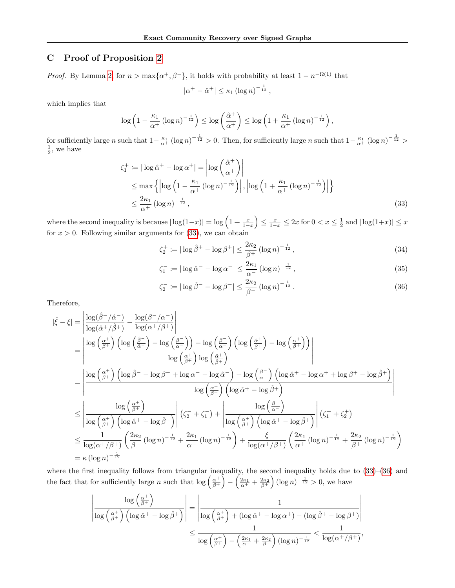# <span id="page-15-0"></span>C Proof of Proposition [2](#page-3-4)

*Proof.* By Lemma [2,](#page-5-3) for  $n > \max\{\alpha^+, \beta^-\}$ , it holds with probability at least  $1 - n^{-\Omega(1)}$  that

<span id="page-15-1"></span>
$$
|\alpha^+ - \hat{\alpha}^+| \leq \kappa_1 (\log n)^{-\frac{1}{12}},
$$

which implies that

$$
\log\left(1-\frac{\kappa_1}{\alpha^+}\left(\log n\right)^{-\frac{1}{12}}\right) \leq \log\left(\frac{\hat{\alpha}^+}{\alpha^+}\right) \leq \log\left(1+\frac{\kappa_1}{\alpha^+}\left(\log n\right)^{-\frac{1}{12}}\right),
$$

for sufficiently large n such that  $1 - \frac{\kappa_1}{\alpha^+} (\log n)^{-\frac{1}{12}} > 0$ . Then, for sufficiently large n such that  $1 - \frac{\kappa_1}{\alpha^+} (\log n)^{-\frac{1}{12}} > \frac{1}{2}$ , we have

$$
\zeta_1^+ := |\log \hat{\alpha}^+ - \log \alpha^+| = \left| \log \left( \frac{\hat{\alpha}^+}{\alpha^+} \right) \right|
$$
  
\n
$$
\leq \max \left\{ \left| \log \left( 1 - \frac{\kappa_1}{\alpha^+} \left( \log n \right)^{-\frac{1}{12}} \right) \right|, \left| \log \left( 1 + \frac{\kappa_1}{\alpha^+} \left( \log n \right)^{-\frac{1}{12}} \right) \right| \right\}
$$
  
\n
$$
\leq \frac{2\kappa_1}{\alpha^+} \left( \log n \right)^{-\frac{1}{12}},
$$
\n(33)

where the second inequality is because  $|\log(1-x)| = \log\left(1+\frac{x}{1-x}\right) \le \frac{x}{1-x} \le 2x$  for  $0 < x \le \frac{1}{2}$  and  $|\log(1+x)| \le x$ for  $x > 0$ . Following similar arguments for  $(33)$ , we can obtain

$$
\zeta_2^+ := |\log \hat{\beta}^+ - \log \beta^+| \le \frac{2\kappa_2}{\beta^+} (\log n)^{-\frac{1}{12}},\tag{34}
$$

$$
\zeta_1^- := |\log \hat{\alpha}^- - \log \alpha^-| \le \frac{2\kappa_1}{\alpha^-} (\log n)^{-\frac{1}{12}},\tag{35}
$$

<span id="page-15-2"></span>
$$
\zeta_2^- := |\log \hat{\beta}^- - \log \beta^-| \le \frac{2\kappa_2}{\beta^-} (\log n)^{-\frac{1}{12}}.
$$
\n(36)

Therefore,

$$
|\hat{\xi} - \xi| = \left| \frac{\log(\hat{\beta}^{-}/\hat{\alpha}^{-})}{\log(\hat{\alpha}^{+}/\hat{\beta}^{+})} - \frac{\log(\beta^{-}/\alpha^{-})}{\log(\alpha^{+}/\beta^{+})} \right|
$$
  
\n
$$
= \left| \frac{\log(\frac{\alpha^{+}}{\beta^{+}})\left(\log(\frac{\hat{\beta}^{-}}{\hat{\alpha}^{-}}) - \log(\frac{\beta^{-}}{\hat{\alpha}^{-}})\right) - \log(\frac{\beta^{-}}{\hat{\alpha}^{-}})\left(\log(\frac{\hat{\alpha}^{+}}{\hat{\beta}^{+}}) - \log(\frac{\alpha^{+}}{\hat{\beta}^{+}})\right)}{\log(\frac{\alpha^{+}}{\hat{\beta}^{+}})\log(\frac{\hat{\alpha}^{+}}{\hat{\beta}^{+}})} \right|
$$
  
\n
$$
= \left| \frac{\log(\frac{\alpha^{+}}{\beta^{+}})\left(\log \hat{\beta}^{-} - \log \beta^{-} + \log \alpha^{-} - \log \hat{\alpha}^{-}\right) - \log(\frac{\beta^{-}}{\alpha^{-}})\left(\log \hat{\alpha}^{+} - \log \alpha^{+} + \log \beta^{+} - \log \hat{\beta}^{+}\right)}{\log(\frac{\alpha^{+}}{\beta^{+}})\left(\log \hat{\alpha}^{+} - \log \hat{\beta}^{+}\right)} \right|
$$
  
\n
$$
\leq \left| \frac{\log(\frac{\alpha^{+}}{\beta^{+}})\left(\log \hat{\alpha}^{+} - \log \hat{\beta}^{+}\right)}{\log(\frac{\alpha^{+}}{\beta^{+}})\left(\log \hat{\alpha}^{+} - \log \hat{\beta}^{+}\right)} \right| (\zeta_{2}^{-} + \zeta_{1}^{-}) + \left| \frac{\log(\frac{\beta^{-}}{\hat{\alpha}^{-}})}{\log(\frac{\alpha^{+}}{\hat{\beta}^{+}})\left(\log \hat{\alpha}^{+} - \log \hat{\beta}^{+}\right)} \right| (\zeta_{1}^{+} + \zeta_{2}^{+})}{\log(\alpha^{+}/\beta^{+})\left(\frac{2\kappa_{1}}{\beta^{-}}(\log n)^{-\frac{1}{12}}\right)} \right|
$$
  
\n
$$
\leq \frac{1}{\log(\alpha^{+}/\beta^{+})} \left( \frac{2\kappa_{2}}{\beta^{-}} (\log n)^{-\frac{1}{12}} + \frac{2\kappa_{1}}{\alpha^{-}} (\log n)^{-\frac{1}{12
$$

where the first inequality follows from triangular inequality, the second inequality holds due to  $(33)$ – $(36)$  and the fact that for sufficiently large n such that  $\log \left( \frac{\alpha^+}{\beta^+} \right)$  $\left(\frac{\alpha^{+}}{\beta^{+}}\right) - \left(\frac{2\kappa_{1}}{\alpha^{+}} + \frac{2\kappa_{2}}{\beta^{+}}\right) (\log n)^{-\frac{1}{12}} > 0$ , we have

$$
\left|\frac{\log\left(\frac{\alpha^{+}}{\beta^{+}}\right)}{\log\left(\frac{\alpha^{+}}{\beta^{+}}\right)\left(\log \hat{\alpha}^{+} - \log \hat{\beta}^{+}\right)}\right| = \left|\frac{1}{\log\left(\frac{\alpha^{+}}{\beta^{+}}\right) + (\log \hat{\alpha}^{+} - \log \alpha^{+}) - (\log \hat{\beta}^{+} - \log \beta^{+})}\right|
$$
  

$$
\leq \frac{1}{\log\left(\frac{\alpha^{+}}{\beta^{+}}\right) - \left(\frac{2\kappa_{1}}{\alpha^{+}} + \frac{2\kappa_{2}}{\beta^{+}}\right)(\log n)^{-\frac{1}{12}}} < \frac{1}{\log(\alpha^{+}/\beta^{+})},
$$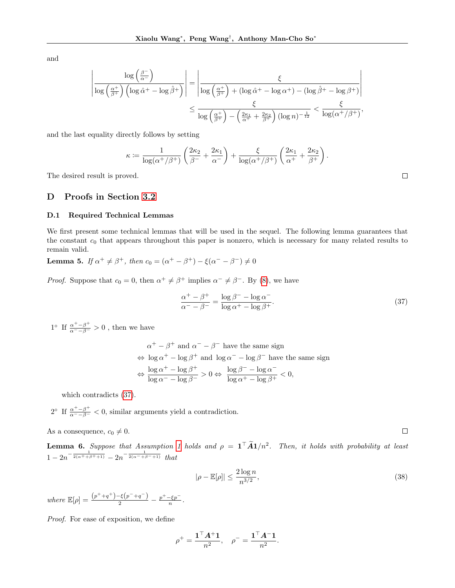and

$$
\left| \frac{\log\left(\frac{\beta^{-}}{\alpha^{+}}\right)}{\log\left(\frac{\alpha^{+}}{\beta^{+}}\right) \left(\log \hat{\alpha}^{+} - \log \hat{\beta}^{+}\right)} \right| = \left| \frac{\xi}{\log\left(\frac{\alpha^{+}}{\beta^{+}}\right) + (\log \hat{\alpha}^{+} - \log \alpha^{+}) - (\log \hat{\beta}^{+} - \log \beta^{+})} \right|
$$
  

$$
\leq \frac{\xi}{\log\left(\frac{\alpha^{+}}{\beta^{+}}\right) - \left(\frac{2\kappa_{1}}{\alpha^{+}} + \frac{2\kappa_{2}}{\beta^{+}}\right) (\log n)^{-\frac{1}{12}}} < \frac{\xi}{\log(\alpha^{+}/\beta^{+})},
$$

and the last equality directly follows by setting

$$
\kappa \coloneqq \frac{1}{\log(\alpha^+/\beta^+)} \left( \frac{2\kappa_2}{\beta^-} + \frac{2\kappa_1}{\alpha^-} \right) + \frac{\xi}{\log(\alpha^+/\beta^+)} \left( \frac{2\kappa_1}{\alpha^+} + \frac{2\kappa_2}{\beta^+} \right).
$$

The desired result is proved.

# D Proofs in Section [3.2](#page-5-1)

#### D.1 Required Technical Lemmas

We first present some technical lemmas that will be used in the sequel. The following lemma guarantees that the constant  $c_0$  that appears throughout this paper is nonzero, which is necessary for many related results to remain valid.

**Lemma 5.** If 
$$
\alpha^+ \neq \beta^+
$$
, then  $c_0 = (\alpha^+ - \beta^+) - \xi(\alpha^- - \beta^-) \neq 0$ 

*Proof.* Suppose that  $c_0 = 0$ , then  $\alpha^+ \neq \beta^+$  implies  $\alpha^- \neq \beta^-$ . By [\(8\)](#page-3-8), we have

$$
\frac{\alpha^+ - \beta^+}{\alpha^- - \beta^-} = \frac{\log \beta^- - \log \alpha^-}{\log \alpha^+ - \log \beta^+}.
$$
\n(37)

1° If  $\frac{\alpha^+ - \beta^+}{\alpha^- - \beta^-} > 0$ , then we have

$$
\alpha^{+} - \beta^{+} \text{ and } \alpha^{-} - \beta^{-} \text{ have the same sign}
$$
  
\n
$$
\Leftrightarrow \log \alpha^{+} - \log \beta^{+} \text{ and } \log \alpha^{-} - \log \beta^{-} \text{ have the same sign}
$$
  
\n
$$
\Leftrightarrow \frac{\log \alpha^{+} - \log \beta^{+}}{\log \alpha^{-} - \log \beta^{-}} > 0 \Leftrightarrow \frac{\log \beta^{-} - \log \alpha^{-}}{\log \alpha^{+} - \log \beta^{+}} < 0,
$$

which contradicts [\(37\)](#page-16-0).

2<sup>°</sup> If  $\frac{\alpha^+ - \beta^+}{\alpha^- - \beta^-} < 0$ , similar arguments yield a contradiction.

As a consequence,  $c_0 \neq 0$ .

<span id="page-16-1"></span>**Lemma 6.** Suppose that Assumption [1](#page-2-3) holds and  $\rho = \mathbf{1}^T \tilde{\mathbf{A}} \mathbf{1}/n^2$ . Then, it holds with probability at least  $1-2n^{-\frac{1}{2(\alpha^++\beta^++1)}}-2n^{-\frac{1}{2(\alpha^-+\beta^-+1)}}$  that

$$
|\rho - \mathbb{E}[\rho]| \le \frac{2\log n}{n^{3/2}},\tag{38}
$$

where  $\mathbb{E}[\rho] = \frac{(p^+ + q^+) - \xi(p^- + q^-)}{2} - \frac{p^+ - \xi p^-}{n}.$ 

Proof. For ease of exposition, we define

$$
\rho^+ = \frac{\mathbf{1}^\top A^+ \mathbf{1}}{n^2}, \quad \rho^- = \frac{\mathbf{1}^\top A^- \mathbf{1}}{n^2}.
$$

<span id="page-16-0"></span> $\Box$ 

<span id="page-16-2"></span> $\Box$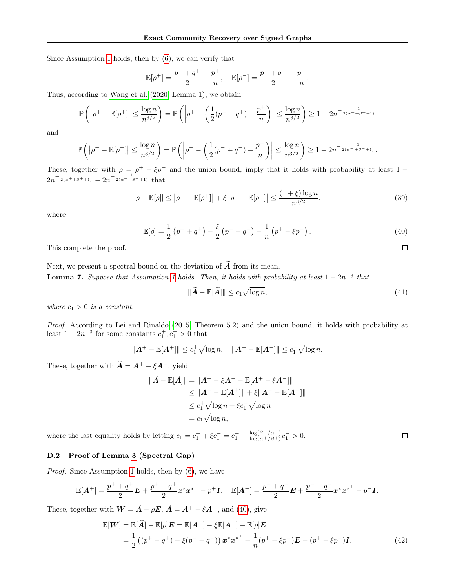Since Assumption [1](#page-2-3) holds, then by [\(6\)](#page-3-0), we can verify that

$$
\mathbb{E}[\rho^+] = \frac{p^+ + q^+}{2} - \frac{p^+}{n}, \quad \mathbb{E}[\rho^-] = \frac{p^- + q^-}{2} - \frac{p^-}{n}.
$$

Thus, according to [Wang et al.](#page-10-5) [\(2020,](#page-10-5) Lemma 1), we obtain

$$
\mathbb{P}\left(\left|\rho^+ - \mathbb{E}[\rho^+]\right| \le \frac{\log n}{n^{3/2}}\right) = \mathbb{P}\left(\left|\rho^+ - \left(\frac{1}{2}(p^+ + q^+) - \frac{p^+}{n}\right)\right| \le \frac{\log n}{n^{3/2}}\right) \ge 1 - 2n^{-\frac{1}{2(\alpha^+ + \beta^+ + 1)}}
$$

and

$$
\mathbb{P}\left(\left|\rho^{-}-\mathbb{E}[\rho^{-}]\right| \leq \frac{\log n}{n^{3/2}}\right) = \mathbb{P}\left(\left|\rho^{-}-\left(\frac{1}{2}(p^{-}+q^{-})-\frac{p^{-}}{n}\right)\right| \leq \frac{\log n}{n^{3/2}}\right) \geq 1-2n^{-\frac{1}{2(\alpha^{-}+\beta^{-}+1)}}.
$$

These, together with  $\rho = \rho^+ - \xi \rho^-$  and the union bound, imply that it holds with probability at least 1 –  $2n^{-\frac{1}{2(\alpha^+ + \beta^+ + 1)}} - 2n^{-\frac{1}{2(\alpha^- + \beta^- + 1)}}$  that

$$
|\rho - \mathbb{E}[\rho]| \le |\rho^+ - \mathbb{E}[\rho^+]| + \xi |\rho^- - \mathbb{E}[\rho^-]| \le \frac{(1+\xi)\log n}{n^{3/2}},\tag{39}
$$

where

$$
\mathbb{E}[\rho] = \frac{1}{2} \left( p^+ + q^+ \right) - \frac{\xi}{2} \left( p^- + q^- \right) - \frac{1}{n} \left( p^+ - \xi p^- \right). \tag{40}
$$

This complete the proof.

<span id="page-17-1"></span>Next, we present a spectral bound on the deviation of  $\widetilde{A}$  from its mean. **Lemma 7.** Suppose that Assumption [1](#page-2-3) holds. Then, it holds with probability at least  $1-2n^{-3}$  that

$$
\|\widetilde{A} - \mathbb{E}[\widetilde{A}]\| \le c_1 \sqrt{\log n},\tag{41}
$$

<span id="page-17-3"></span><span id="page-17-0"></span> $\Box$ 

<span id="page-17-2"></span> $\Box$ 

where  $c_1 > 0$  is a constant.

Proof. According to [Lei and Rinaldo](#page-9-25) [\(2015,](#page-9-25) Theorem 5.2) and the union bound, it holds with probability at least  $1 - 2n^{-3}$  for some constants  $c_1^+, c_1^- > 0$  that

$$
||A^+ - \mathbb{E}[A^+||] \leq c_1^+ \sqrt{\log n}, \quad ||A^- - \mathbb{E}[A^-||] \leq c_1^- \sqrt{\log n}.
$$

These, together with  $\widetilde{A} = A^+ - \xi A^-$ , yield

$$
\|\tilde{A} - \mathbb{E}[\tilde{A}]\| = \|A^+ - \xi A^- - \mathbb{E}[A^+ - \xi A^-]\|
$$
  
\n
$$
\le \|A^+ - \mathbb{E}[A^+]\| + \xi \|A^- - \mathbb{E}[A^-]\|
$$
  
\n
$$
\le c_1^+ \sqrt{\log n} + \xi c_1^- \sqrt{\log n}
$$
  
\n
$$
= c_1 \sqrt{\log n},
$$

where the last equality holds by letting  $c_1 = c_1^+ + \xi c_1^- = c_1^+ + \frac{\log(\beta^-/\alpha^-)}{\log(\alpha^+/\beta^+)}$  $\frac{\log(\beta^-/\alpha^-)}{\log(\alpha^+/\beta^+)}c_1^- > 0.$ 

### D.2 Proof of Lemma [3](#page-5-4) (Spectral Gap)

Proof. Since Assumption [1](#page-2-3) holds, then by [\(6\)](#page-3-0), we have

$$
\mathbb{E}[\mathbf{A}^+] = \frac{p^+ + q^+}{2} \mathbf{E} + \frac{p^+ - q^+}{2} \mathbf{x}^* \mathbf{x}^{* \top} - p^+ \mathbf{I}, \quad \mathbb{E}[\mathbf{A}^-] = \frac{p^- + q^-}{2} \mathbf{E} + \frac{p^- - q^-}{2} \mathbf{x}^* \mathbf{x}^{* \top} - p^- \mathbf{I}.
$$

These, together with  $\mathbf{W} = \widetilde{\mathbf{A}} - \rho \mathbf{E}$ ,  $\widetilde{\mathbf{A}} = \mathbf{A}^+ - \xi \mathbf{A}^-$ , and [\(40\)](#page-17-0), give

$$
\mathbb{E}[W] = \mathbb{E}[\tilde{A}] - \mathbb{E}[\rho]E = \mathbb{E}[A^+] - \xi \mathbb{E}[A^-] - \mathbb{E}[\rho]E
$$
  
=  $\frac{1}{2} ((p^+ - q^+) - \xi(p^- - q^-)) x^* x^{*^+} + \frac{1}{n} (p^+ - \xi p^-) E - (p^+ - \xi p^-) I.$  (42)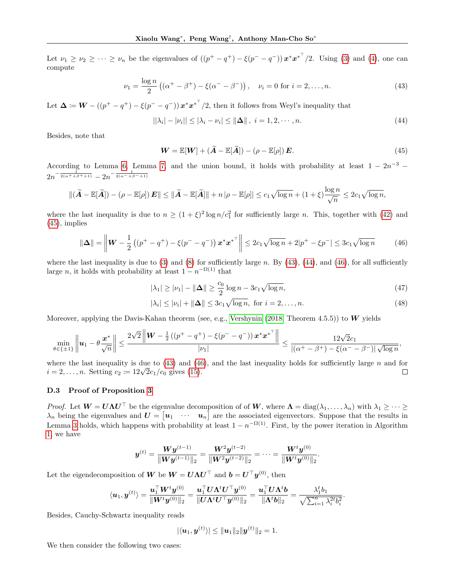Let  $\nu_1 \geq \nu_2 \geq \cdots \geq \nu_n$  be the eigenvalues of  $((p^+ - q^+) - \xi(p^- - q^-))x^*x^{*\top}/2$ . Using [\(3\)](#page-2-1) and [\(4\)](#page-2-2), one can compute

$$
\nu_1 = \frac{\log n}{2} ((\alpha^+ - \beta^+) - \xi (\alpha^- - \beta^-)), \quad \nu_i = 0 \text{ for } i = 2, ..., n. \tag{43}
$$

Let  $\Delta := W - ((p^+ - q^+) - \xi(p^- - q^-)) x^* x^{*T}/2$ , then it follows from Weyl's inequality that

$$
||\lambda_i| - |\nu_i|| \le |\lambda_i - \nu_i| \le ||\Delta||, \ i = 1, 2, \cdots, n. \tag{44}
$$

Besides, note that

<span id="page-18-2"></span><span id="page-18-1"></span><span id="page-18-0"></span>
$$
\mathbf{W} = \mathbb{E}[\mathbf{W}] + (\widetilde{\mathbf{A}} - \mathbb{E}[\widetilde{\mathbf{A}}]) - (\rho - \mathbb{E}[\rho])\mathbf{E}.
$$
\n(45)

According to Lemma [6,](#page-16-1) Lemma [7,](#page-17-1) and the union bound, it holds with probability at least  $1 - 2n^{-3}$  $2n^{-\frac{1}{2(\alpha^+ + \beta^+ + 1)}} - 2n^{-\frac{1}{2(\alpha^- + \beta^- + 1)}}$ 

$$
\|(\widetilde{\mathbf{A}}-\mathbb{E}[\widetilde{\mathbf{A}}])-(\rho-\mathbb{E}[\rho])\mathbf{E}\| \le \|\widetilde{\mathbf{A}}-\mathbb{E}[\widetilde{\mathbf{A}}]\|+n\|\rho-\mathbb{E}[\rho]\| \le c_1\sqrt{\log n}+(1+\xi)\frac{\log n}{\sqrt{n}}\le 2c_1\sqrt{\log n},
$$

where the last inequality is due to  $n \geq (1+\xi)^2 \log n/c_1^2$  for sufficiently large n. This, together with [\(42\)](#page-17-2) and  $(45)$ , implies

$$
\|\Delta\| = \left\| W - \frac{1}{2} \left( (p^+ - q^+) - \xi (p^- - q^-) \right) x^* x^{*^{\top}} \right\| \le 2c_1 \sqrt{\log n} + 2|p^+ - \xi p^-| \le 3c_1 \sqrt{\log n} \tag{46}
$$

where the last inequality is due to [\(3\)](#page-2-1) and [\(8\)](#page-3-8) for sufficiently large n. By [\(43\)](#page-18-1), [\(44\)](#page-18-2), and [\(46\)](#page-18-3), for all sufficiently large n, it holds with probability at least  $1 - n^{-\Omega(1)}$  that

<span id="page-18-4"></span><span id="page-18-3"></span>
$$
|\lambda_1| \ge |\nu_1| - ||\Delta|| \ge \frac{c_0}{2} \log n - 3c_1 \sqrt{\log n},\tag{47}
$$

<span id="page-18-5"></span>
$$
|\lambda_i| \le |\nu_i| + ||\mathbf{\Delta}|| \le 3c_1 \sqrt{\log n}, \text{ for } i = 2, \dots, n. \tag{48}
$$

Moreover, applying the Davis-Kahan theorem (see, e.g., [Vershynin](#page-9-24) [\(2018,](#page-9-24) Theorem 4.5.5)) to  $W$  yields

$$
\min_{\theta \in \{\pm 1\}} \left\| \boldsymbol{u}_1 - \theta \frac{\boldsymbol{x}^*}{\sqrt{n}} \right\| \le \frac{2\sqrt{2} \left\| \boldsymbol{W} - \frac{1}{2} \left( \left( p^+ - q^+ \right) - \xi \left( p^- - q^- \right) \right) \boldsymbol{x}^* {\boldsymbol{x}^*}^\top \right\|}{|\nu_1|} \le \frac{12\sqrt{2}c_1}{\left| \left( \alpha^+ - \beta^+ \right) - \xi \left( \alpha^- - \beta^- \right) \right| \sqrt{\log n}},
$$

where the last inequality is due to  $(43)$  and  $(46)$ , and the last inequality holds for sufficiently large n and for where the last inequality is due to (43) and (40<br>  $i = 2, \ldots, n$ . Setting  $c_2 := 12\sqrt{2}c_1/c_0$  gives [\(15\)](#page-5-8).  $\Box$ 

# D.3 Proof of Proposition [3](#page-5-0)

*Proof.* Let  $W = U \Lambda U^{\top}$  be the eigenvalue decomposition of of W, where  $\Lambda = \text{diag}(\lambda_1, \ldots, \lambda_n)$  with  $\lambda_1 \geq \cdots \geq \lambda_n$  $\lambda_n$  being the eigenvalues and  $\boldsymbol{U} = [\boldsymbol{u}_1 \cdots \boldsymbol{u}_n]$  are the associated eigenvectors. Suppose that the results in Lemma [3](#page-5-4) holds, which happens with probability at least  $1 - n^{-\Omega(1)}$ . First, by the power iteration in Algorithm [1,](#page-4-0) we have

$$
\bm{y}^{(t)} = \frac{\bm{W} \bm{y}^{(t-1)}}{\|\bm{W} \bm{y}^{(t-1)}\|_2} = \frac{\bm{W}^2 \bm{y}^{(t-2)}}{\|\bm{W}^2 \bm{y}^{(t-2)}\|_2} = \cdots = \frac{\bm{W}^t \bm{y}^{(0)}}{\|\bm{W}^t \bm{y}^{(0)}\|_2}.
$$

Let the eigendecomposition of W be  $W = U \Lambda U^{\top}$  and  $b = U^{\top} y^{(0)}$ , then

$$
\langle \boldsymbol{u}_1, \boldsymbol{y}^{(t)} \rangle = \frac{\boldsymbol{u}_1^\top \boldsymbol{W}^t \boldsymbol{y}^{(0)}}{\|\boldsymbol{W}^t \boldsymbol{y}^{(0)}\|_2} = \frac{\boldsymbol{u}_1^\top \boldsymbol{U} \boldsymbol{\Lambda}^t \boldsymbol{U}^\top \boldsymbol{y}^{(0)}}{\|\boldsymbol{U} \boldsymbol{\Lambda}^t \boldsymbol{U}^\top \boldsymbol{y}^{(0)}\|_2} = \frac{\boldsymbol{u}_1^\top \boldsymbol{U} \boldsymbol{\Lambda}^t \boldsymbol{b}}{\|\boldsymbol{\Lambda}^t \boldsymbol{b}\|_2} = \frac{\lambda_1^t b_1}{\sqrt{\sum_{i=1}^n \lambda_i^{2t} b_i^2}}.
$$

Besides, Cauchy-Schwartz inequality reads

$$
|\langle u_1, y^{(t)} \rangle| \le ||u_1||_2 ||y^{(t)}||_2 = 1.
$$

We then consider the following two cases: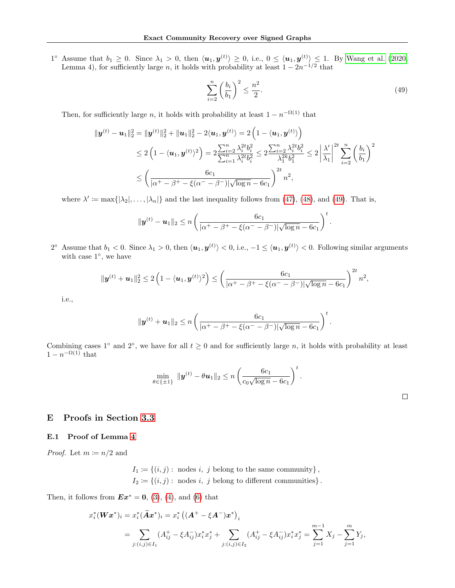$1^{\circ}$  Assume that  $b_1 \geq 0$ . Since  $\lambda_1 > 0$ , then  $\langle u_1, y^{(t)} \rangle \geq 0$ , i.e.,  $0 \leq \langle u_1, y^{(t)} \rangle \leq 1$ . By [Wang et al.](#page-10-5) [\(2020,](#page-10-5) Lemma 4), for sufficiently large n, it holds with probability at least  $1 - 2n^{-1/2}$  that

<span id="page-19-0"></span>
$$
\sum_{i=2}^{n} \left(\frac{b_i}{b_1}\right)^2 \le \frac{n^2}{2}.\tag{49}
$$

Then, for sufficiently large n, it holds with probability at least  $1 - n^{-\Omega(1)}$  that

$$
\|\mathbf{y}^{(t)} - \mathbf{u}_1\|_2^2 = \|\mathbf{y}^{(t)}\|_2^2 + \|\mathbf{u}_1\|_2^2 - 2\langle \mathbf{u}_1, \mathbf{y}^{(t)} \rangle = 2\left(1 - \langle \mathbf{u}_1, \mathbf{y}^{(t)} \rangle\right)
$$
  
\$\leq 2\left(1 - \langle \mathbf{u}\_1, \mathbf{y}^{(t)} \rangle^2\right) = 2\frac{\sum\_{i=2}^n \lambda\_i^{2t} b\_i^2}{\sum\_{i=1}^n \lambda\_i^{2t} b\_i^2} \leq 2\frac{\sum\_{i=2}^n \lambda\_i^{2t} b\_i^2}{\lambda\_1^{2k} b\_1^2} \leq 2\left|\frac{\lambda'}{\lambda\_1}\right|^{2t} \sum\_{i=2}^n \left(\frac{b\_i}{b\_1}\right)^2  
\$\leq \left(\frac{6c\_1}{|\alpha^+ - \beta^+ - \xi(\alpha^- - \beta^-)|\sqrt{\log n} - 6c\_1}\right)^{2t} n^2\$,

where  $\lambda' \coloneqq \max\{|\lambda_2|,\ldots,|\lambda_n|\}$  and the last inequality follows from [\(47\)](#page-18-4), [\(48\)](#page-18-5), and [\(49\)](#page-19-0). That is,

$$
\|\bm{y}^{(t)}-\bm{u}_1\|_2 \leq n \left(\frac{6c_1}{|\alpha^+ - \beta^+ - \xi(\alpha^- - \beta^-)|\sqrt{\log n} - 6c_1}\right)^t.
$$

2<sup>°</sup> Assume that  $b_1 < 0$ . Since  $\lambda_1 > 0$ , then  $\langle u_1, y^{(t)} \rangle < 0$ , i.e.,  $-1 \le \langle u_1, y^{(t)} \rangle < 0$ . Following similar arguments with case 1<sup>°</sup>, we have

$$
\|\mathbf{y}^{(t)} + \mathbf{u}_1\|_2^2 \leq 2\left(1 - \langle \mathbf{u}_1, \mathbf{y}^{(t)} \rangle^2\right) \leq \left(\frac{6c_1}{|\alpha^+ - \beta^+ - \xi(\alpha^- - \beta^-)|\sqrt{\log n} - 6c_1}\right)^{2t} n^2,
$$

i.e.,

$$
\|\bm{y}^{(t)}+\bm{u}_1\|_2 \leq n \left(\frac{6c_1}{|\alpha^+ - \beta^+ - \xi(\alpha^- - \beta^-)|\sqrt{\log n} - 6c_1}\right)^t.
$$

Combining cases 1<sup>°</sup> and 2<sup>°</sup>, we have for all  $t \geq 0$  and for sufficiently large n, it holds with probability at least  $1 - n^{-\Omega(1)}$  that

$$
\min_{\theta \in \{\pm 1\}} \|y^{(t)} - \theta u_1\|_2 \le n \left(\frac{6c_1}{c_0 \sqrt{\log n} - 6c_1}\right)^t.
$$

# E Proofs in Section [3.3](#page-5-2)

### E.1 Proof of Lemma [4](#page-5-5)

*Proof.* Let  $m \coloneqq n/2$  and

$$
I_1 := \{(i, j) : \text{ nodes } i, j \text{ belong to the same community}\},
$$

$$
I_2 := \{(i, j) : \text{ nodes } i, j \text{ belong to different communities}\}.
$$

Then, it follows from  $\boldsymbol{Ex}^* = \boldsymbol{0}$ , [\(3\)](#page-2-1), [\(4\)](#page-2-2), and [\(6\)](#page-3-0) that

$$
x_i^*(\boldsymbol{W}\boldsymbol{x}^*)_i = x_i^*(\tilde{\boldsymbol{A}}\boldsymbol{x}^*)_i = x_i^*\left((\boldsymbol{A}^+ - \xi \boldsymbol{A}^-)\boldsymbol{x}^*\right)_i
$$
  
= 
$$
\sum_{j:(i,j) \in I_1} (A_{ij}^+ - \xi A_{ij}^-) x_i^* x_j^* + \sum_{j:(i,j) \in I_2} (A_{ij}^+ - \xi A_{ij}^-) x_i^* x_j^* = \sum_{j=1}^{m-1} X_j - \sum_{j=1}^m Y_j,
$$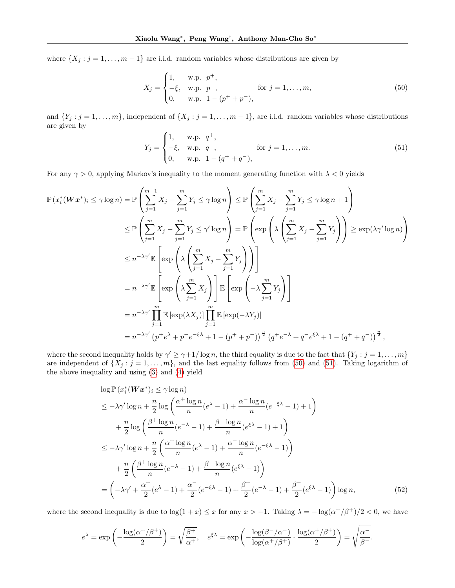where  $\{X_j : j = 1, \ldots, m-1\}$  are i.i.d. random variables whose distributions are given by

<span id="page-20-0"></span>
$$
X_j = \begin{cases} 1, & \text{w.p. } p^+, \\ -\xi, & \text{w.p. } p^-, \\ 0, & \text{w.p. } 1 - (p^+ + p^-), \end{cases} \quad \text{for } j = 1, \dots, m,
$$
\n
$$
(50)
$$

and  $\{Y_j : j = 1, \ldots, m\}$ , independent of  $\{X_j : j = 1, \ldots, m-1\}$ , are i.i.d. random variables whose distributions are given by

<span id="page-20-1"></span>
$$
Y_j = \begin{cases} 1, & \text{w.p. } q^+, \\ -\xi, & \text{w.p. } q^-, \\ 0, & \text{w.p. } 1 - (q^+ + q^-), \end{cases} \quad \text{for } j = 1, ..., m. \tag{51}
$$

For any  $\gamma > 0$ , applying Markov's inequality to the moment generating function with  $\lambda < 0$  yields

$$
\mathbb{P}(x_i^*(\boldsymbol{W}\boldsymbol{x}^*)_i \leq \gamma \log n) = \mathbb{P}\left(\sum_{j=1}^{m-1} X_j - \sum_{j=1}^m Y_j \leq \gamma \log n\right) \leq \mathbb{P}\left(\sum_{j=1}^m X_j - \sum_{j=1}^m Y_j \leq \gamma \log n + 1\right)
$$
  
\n
$$
\leq \mathbb{P}\left(\sum_{j=1}^m X_j - \sum_{j=1}^m Y_j \leq \gamma' \log n\right) = \mathbb{P}\left(\exp\left(\lambda \left(\sum_{j=1}^m X_j - \sum_{j=1}^m Y_j\right)\right)\right) \geq \exp(\lambda \gamma' \log n)\right)
$$
  
\n
$$
\leq n^{-\lambda \gamma'} \mathbb{E}\left[\exp\left(\lambda \left(\sum_{j=1}^m X_j - \sum_{j=1}^m Y_j\right)\right)\right]
$$
  
\n
$$
= n^{-\lambda \gamma'} \mathbb{E}\left[\exp\left(\lambda \sum_{j=1}^m X_j\right)\right] \mathbb{E}\left[\exp\left(-\lambda \sum_{j=1}^m Y_j\right)\right]
$$
  
\n
$$
= n^{-\lambda \gamma'} \prod_{j=1}^m \mathbb{E}\left[\exp(\lambda X_j)\right] \prod_{j=1}^m \mathbb{E}\left[\exp(-\lambda Y_j)\right]
$$
  
\n
$$
= n^{-\lambda \gamma'} \left(n^+ e^{\lambda} + p^- e^{-\xi \lambda} + 1 - (p^+ + p^-)\right)^{\frac{n}{2}} \left(q^+ e^{-\lambda} + q^- e^{\xi \lambda} + 1 - (q^+ + q^-)\right)^{\frac{n}{2}},
$$

where the second inequality holds by  $\gamma' \geq \gamma + 1/\log n$ , the third equality is due to the fact that  $\{Y_j : j = 1, \ldots, m\}$ are independent of  $\{X_j : j = 1, \ldots, m\}$ , and the last equality follows from [\(50\)](#page-20-0) and [\(51\)](#page-20-1). Taking logarithm of the above inequality and using [\(3\)](#page-2-1) and [\(4\)](#page-2-2) yield

<span id="page-20-2"></span>
$$
\log \mathbb{P}\left(x_i^*(\boldsymbol{W}\boldsymbol{x}^*)_i \le \gamma \log n\right)
$$
  
\n
$$
\le -\lambda \gamma' \log n + \frac{n}{2} \log \left(\frac{\alpha^+ \log n}{n} (e^{\lambda} - 1) + \frac{\alpha^- \log n}{n} (e^{-\xi \lambda} - 1) + 1\right)
$$
  
\n
$$
+ \frac{n}{2} \log \left(\frac{\beta^+ \log n}{n} (e^{-\lambda} - 1) + \frac{\beta^- \log n}{n} (e^{\xi \lambda} - 1) + 1\right)
$$
  
\n
$$
\le -\lambda \gamma' \log n + \frac{n}{2} \left(\frac{\alpha^+ \log n}{n} (e^{\lambda} - 1) + \frac{\alpha^- \log n}{n} (e^{-\xi \lambda} - 1)\right)
$$
  
\n
$$
+ \frac{n}{2} \left(\frac{\beta^+ \log n}{n} (e^{-\lambda} - 1) + \frac{\beta^- \log n}{n} (e^{\xi \lambda} - 1)\right)
$$
  
\n
$$
= \left(-\lambda \gamma' + \frac{\alpha^+}{2} (e^{\lambda} - 1) + \frac{\alpha^-}{2} (e^{-\xi \lambda} - 1) + \frac{\beta^+}{2} (e^{-\lambda} - 1) + \frac{\beta^-}{2} (e^{\xi \lambda} - 1)\right) \log n,
$$
 (52)

where the second inequality is due to  $\log(1+x) \leq x$  for any  $x > -1$ . Taking  $\lambda = -\log(\alpha^+/\beta^+)/2 < 0$ , we have

$$
e^{\lambda} = \exp\left(-\frac{\log(\alpha^+/\beta^+)}{2}\right) = \sqrt{\frac{\beta^+}{\alpha^+}}, \quad e^{\xi\lambda} = \exp\left(-\frac{\log(\beta^-/\alpha^-)}{\log(\alpha^+/\beta^+)} \cdot \frac{\log(\alpha^+/\beta^+)}{2}\right) = \sqrt{\frac{\alpha^-}{\beta^-}}.
$$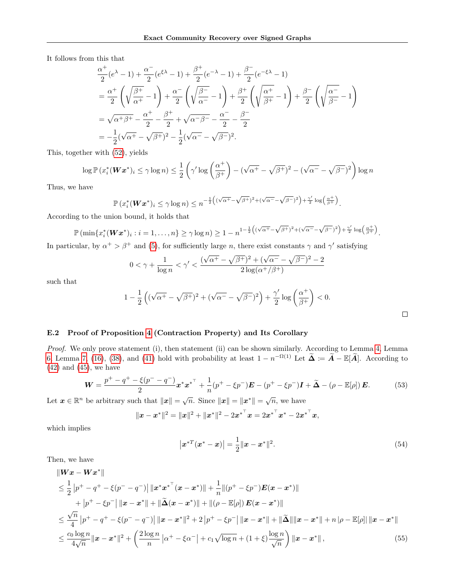It follows from this that

$$
\frac{\alpha^{+}}{2}(e^{\lambda} - 1) + \frac{\alpha^{-}}{2}(e^{\xi\lambda} - 1) + \frac{\beta^{+}}{2}(e^{-\lambda} - 1) + \frac{\beta^{-}}{2}(e^{-\xi\lambda} - 1) \n= \frac{\alpha^{+}}{2}\left(\sqrt{\frac{\beta^{+}}{\alpha^{+}}} - 1\right) + \frac{\alpha^{-}}{2}\left(\sqrt{\frac{\beta^{-}}{\alpha^{-}}} - 1\right) + \frac{\beta^{+}}{2}\left(\sqrt{\frac{\alpha^{+}}{\beta^{+}}} - 1\right) + \frac{\beta^{-}}{2}\left(\sqrt{\frac{\alpha^{-}}{\beta^{-}}} - 1\right) \n= \sqrt{\alpha^{+}\beta^{+}} - \frac{\alpha^{+}}{2} - \frac{\beta^{+}}{2} + \sqrt{\alpha^{-}\beta^{-}} - \frac{\alpha^{-}}{2} - \frac{\beta^{-}}{2} \n= -\frac{1}{2}(\sqrt{\alpha^{+}} - \sqrt{\beta^{+}})^{2} - \frac{1}{2}(\sqrt{\alpha^{-}} - \sqrt{\beta^{-}})^{2}.
$$

This, together with [\(52\)](#page-20-2), yields

$$
\log \mathbb{P}\left(x_i^*(\boldsymbol{W}\boldsymbol{x}^*)_i \leq \gamma \log n\right) \leq \frac{1}{2} \left(\gamma' \log \left(\frac{\alpha^+}{\beta^+}\right) - (\sqrt{\alpha^+} - \sqrt{\beta^+})^2 - (\sqrt{\alpha^-} - \sqrt{\beta^-})^2\right) \log n
$$

Thus, we have

$$
\mathbb{P}\left(x_i^*(\boldsymbol{W}\boldsymbol{x}^*)_i \leq \gamma \log n\right) \leq n^{-\frac{1}{2}\left((\sqrt{\alpha^+} - \sqrt{\beta^+})^2 + (\sqrt{\alpha^-} - \sqrt{\beta^-})^2\right) + \frac{\gamma'}{2} \log\left(\frac{\alpha^+}{\beta^+}\right)}.
$$

According to the union bound, it holds that

$$
\mathbb{P}\left(\min\{x_i^*(\boldsymbol{W}\boldsymbol{x}^*)_i:i=1,\ldots,n\}\geq\gamma\log n\right)\geq1-n^{1-\frac{1}{2}\left((\sqrt{\alpha^+}-\sqrt{\beta^+})^2+(\sqrt{\alpha^-}-\sqrt{\beta^-})^2\right)+\frac{\gamma'}{2}\log\left(\frac{\alpha^+}{\beta^+}\right)}.
$$

In particular, by  $\alpha^+ > \beta^+$  and [\(5\)](#page-2-4), for sufficiently large *n*, there exist constants  $\gamma$  and  $\gamma'$  satisfying

$$
0 < \gamma + \frac{1}{\log n} < \gamma' < \frac{(\sqrt{\alpha^+} - \sqrt{\beta^+})^2 + (\sqrt{\alpha^-} - \sqrt{\beta^-})^2 - 2}{2\log(\alpha^+/\beta^+)}
$$

such that

$$
1-\frac{1}{2}\left((\sqrt{\alpha^{+}}-\sqrt{\beta^{+}})^{2}+(\sqrt{\alpha^{-}}-\sqrt{\beta^{-}})^{2}\right)+\frac{\gamma'}{2}\log\left(\frac{\alpha^{+}}{\beta^{+}}\right)<0.
$$

E.2 Proof of Proposition [4](#page-5-6) (Contraction Property) and Its Corollary

Proof. We only prove statement (i), then statement (ii) can be shown similarly. According to Lemma [4,](#page-5-5) Lemma [6,](#page-16-1) Lemma [7,](#page-17-1) [\(16\)](#page-5-9), [\(38\)](#page-16-2), and [\(41\)](#page-17-3) hold with probability at least  $1 - n^{-\Omega(1)}$  Let  $\widetilde{\mathbf{\Delta}} := \widetilde{\mathbf{A}} - \mathbb{E}[\widetilde{\mathbf{A}}]$ . According to  $(42)$  and  $(45)$ , we have

$$
\mathbf{W} = \frac{p^+ - q^+ - \xi(p^- - q^-)}{2} \mathbf{x}^* \mathbf{x}^{* \top} + \frac{1}{n} (p^+ - \xi p^-) \mathbf{E} - (p^+ - \xi p^-) \mathbf{I} + \widetilde{\mathbf{\Delta}} - (\rho - \mathbb{E}[\rho]) \mathbf{E}.
$$
 (53)

Let  $\boldsymbol{x} \in \mathbb{R}^n$  be arbitrary such that  $\|\boldsymbol{x}\| = \sqrt{n}$ . Since  $\|\boldsymbol{x}\| = \|\boldsymbol{x}^*\| = \sqrt{n}$ , we have

 $\overline{\phantom{a}}$ 

$$
\|\boldsymbol{x} - \boldsymbol{x}^*\|^2 = \|\boldsymbol{x}\|^2 + \|\boldsymbol{x}^*\|^2 - 2{\boldsymbol{x}^*}^\top \boldsymbol{x} = 2{\boldsymbol{x}^*}^\top \boldsymbol{x}^* - 2{\boldsymbol{x}^*}^\top \boldsymbol{x},
$$

which implies

$$
|\boldsymbol{x}^{*T}(\boldsymbol{x}^* - \boldsymbol{x})| = \frac{1}{2} ||\boldsymbol{x} - \boldsymbol{x}^*||^2.
$$
 (54)

<span id="page-21-2"></span><span id="page-21-1"></span><span id="page-21-0"></span> $\Box$ 

Then, we have

$$
\|Wx - Wx^*\|
$$
\n
$$
\leq \frac{1}{2} |p^+ - q^+ - \xi(p^- - q^-)| \|x^*x^{*^+}(x - x^*)\| + \frac{1}{n} \|(p^+ - \xi p^-)E(x - x^*)\|
$$
\n
$$
+ |p^+ - \xi p^-| \|x - x^*\| + \|\tilde{\Delta}(x - x^*)\| + \|(\rho - \mathbb{E}[\rho])E(x - x^*)\|
$$
\n
$$
\leq \frac{\sqrt{n}}{4} |p^+ - q^+ - \xi(p^- - q^-)| \|x - x^*\|^2 + 2 |p^+ - \xi p^-| \|x - x^*\| + \|\tilde{\Delta}\| \|x - x^*\| + n |\rho - \mathbb{E}[\rho] \|x - x^*\|
$$
\n
$$
\leq \frac{c_0 \log n}{4\sqrt{n}} \|x - x^*\|^2 + \left(\frac{2 \log n}{n} |a^+ - \xi \alpha^-| + c_1 \sqrt{\log n} + (1 + \xi) \frac{\log n}{\sqrt{n}}\right) \|x - x^*\|,
$$
\n(55)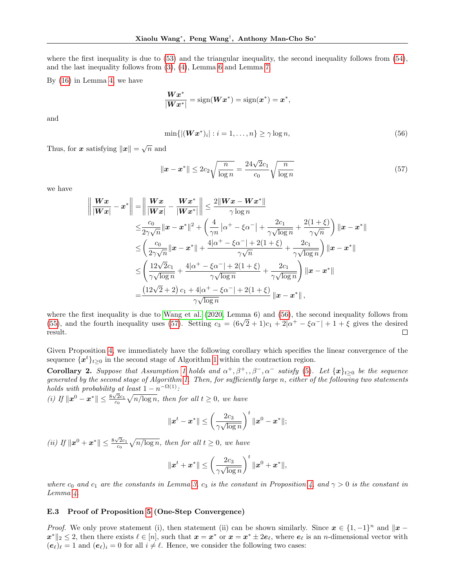where the first inequality is due to [\(53\)](#page-21-0) and the triangular inequality, the second inequality follows from [\(54\)](#page-21-1), and the last inequality follows from [\(3\)](#page-2-1), [\(4\)](#page-2-2), Lemma [6](#page-16-1) and Lemma [7.](#page-17-1)

By [\(16\)](#page-5-9) in Lemma [4,](#page-5-5) we have

$$
\frac{\boldsymbol{W}\boldsymbol{x}^*}{|\boldsymbol{W}\boldsymbol{x}^*|} = \text{sign}(\boldsymbol{W}\boldsymbol{x}^*) = \text{sign}(\boldsymbol{x}^*) = \boldsymbol{x}^*,
$$

and

<span id="page-22-1"></span><span id="page-22-0"></span>
$$
\min\{|(\boldsymbol{W}\boldsymbol{x}^*)_i| : i = 1,\ldots,n\} \geq \gamma \log n,\tag{56}
$$

Thus, for  $\boldsymbol{x}$  satisfying  $\|\boldsymbol{x}\| = \sqrt{n}$  and

$$
\|\boldsymbol{x} - \boldsymbol{x}^*\| \le 2c_2 \sqrt{\frac{n}{\log n}} = \frac{24\sqrt{2}c_1}{c_0} \sqrt{\frac{n}{\log n}}
$$
(57)

we have

$$
\left\| \frac{Wx}{|Wx|} - x^* \right\| = \left\| \frac{Wx}{|Wx|} - \frac{Wx^*}{|Wx^*|} \right\| \le \frac{2\|Wx - Wx^*\|}{\gamma \log n}
$$
  
\n
$$
\le \frac{c_0}{2\gamma \sqrt{n}} \|x - x^*\|^2 + \left(\frac{4}{\gamma n} |\alpha^+ - \xi \alpha^-| + \frac{2c_1}{\gamma \sqrt{\log n}} + \frac{2(1+\xi)}{\gamma \sqrt{n}}\right) \|x - x^*\|
$$
  
\n
$$
\le \left(\frac{c_0}{2\gamma \sqrt{n}} \|x - x^*\| + \frac{4|\alpha^+ - \xi \alpha^-| + 2(1+\xi)}{\gamma \sqrt{n}} + \frac{2c_1}{\gamma \sqrt{\log n}}\right) \|x - x^*\|
$$
  
\n
$$
\le \left(\frac{12\sqrt{2}c_1}{\gamma \sqrt{\log n}} + \frac{4|\alpha^+ - \xi \alpha^-| + 2(1+\xi)}{\gamma \sqrt{\log n}} + \frac{2c_1}{\gamma \sqrt{\log n}}\right) \|x - x^*\|
$$
  
\n
$$
= \frac{(12\sqrt{2}+2)c_1 + 4|\alpha^+ - \xi \alpha^-| + 2(1+\xi)}{\gamma \sqrt{\log n}} \|x - x^*\|,
$$

where the first inequality is due to [Wang et al.](#page-10-5) [\(2020,](#page-10-5) Lemma 6) and [\(56\)](#page-22-0), the second inequality follows from where the first inequality is due to wang et al. (2020, Lemma 6) and (50), the second inequality follows from [\(55\)](#page-21-2), and the fourth inequality uses [\(57\)](#page-22-1). Setting  $c_3 = (6\sqrt{2} + 1)c_1 + 2|\alpha^+ - \xi\alpha^-| + 1 + \xi$  gives the desired result.  $\Box$ 

Given Proposition [4,](#page-5-6) we immediately have the following corollary which specifies the linear convergence of the sequence  $\{\boldsymbol{x}^{t}\}_{t\geq0}$  in the second stage of Algorithm [1](#page-4-0) within the contraction region.

<span id="page-22-2"></span>**Corollary 2.** Suppose that Assumption [1](#page-2-3) holds and  $\alpha^+, \beta^+, \beta^-, \alpha^-$  satisfy [\(5\)](#page-2-4). Let  $\{x\}_{t\geq 0}$  be the sequence generated by the second stage of Algorithm [1.](#page-4-0) Then, for sufficiently large n, either of the following two statements holds with probability at least  $1 - n^{-\Omega(1)}$ :

*(i)* If  $\|\mathbf{x}^0 - \mathbf{x}^*\| \leq \frac{8\sqrt{2}c_1}{c_0}\sqrt{n/\log n}$ , then for all  $t \geq 0$ , we have

$$
||x^t - x^*|| \le \left(\frac{2c_3}{\gamma\sqrt{\log n}}\right)^t ||x^0 - x^*||;
$$

(ii) If  $\|\boldsymbol{x}^{0}+\boldsymbol{x}^{*}\| \leq \frac{8\sqrt{2}c_1}{c_0}\sqrt{n/\log n}$ , then for all  $t \geq 0$ , we have

$$
\|\boldsymbol{x}^{t}+\boldsymbol{x}^*\|\leq\left(\frac{2c_3}{\gamma\sqrt{\log n}}\right)^t\|\boldsymbol{x}^{0}+\boldsymbol{x}^*\|,
$$

where  $c_0$  and  $c_1$  are the constants in Lemma [3,](#page-5-4)  $c_3$  is the constant in Proposition [4,](#page-5-6) and  $\gamma > 0$  is the constant in Lemma [4.](#page-5-5)

### E.3 Proof of Proposition [5](#page-6-0) (One-Step Convergence)

*Proof.* We only prove statement (i), then statement (ii) can be shown similarly. Since  $x \in \{1, -1\}^n$  and  $\|x \|\mathbf{x}^*\|_2 \leq 2$ , then there exists  $\ell \in [n]$ , such that  $\mathbf{x} = \mathbf{x}^*$  or  $\mathbf{x} = \mathbf{x}^* \pm 2e_{\ell}$ , where  $e_{\ell}$  is an *n*-dimensional vector with  $(e_{\ell})_{\ell} = 1$  and  $(e_{\ell})_{i} = 0$  for all  $i \neq \ell$ . Hence, we consider the following two cases: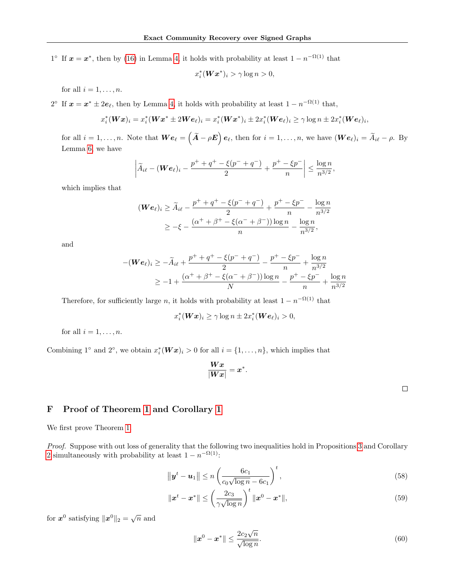$1^{\circ}$  If  $x = x^*$ , then by [\(16\)](#page-5-9) in Lemma [4,](#page-5-5) it holds with probability at least  $1 - n^{-\Omega(1)}$  that

$$
x_i^*(\mathbf{W}\mathbf{x}^*)_i > \gamma \log n > 0,
$$

for all  $i = 1, \ldots, n$ .

2<sup>°</sup> If  $x = x^* \pm 2e_\ell$ , then by Lemma [4,](#page-5-5) it holds with probability at least  $1 - n^{-\Omega(1)}$  that,

$$
x_i^*(\boldsymbol{W}\boldsymbol{x})_i = x_i^*(\boldsymbol{W}\boldsymbol{x}^* \pm 2\boldsymbol{W}\boldsymbol{e}_{\ell})_i = x_i^*(\boldsymbol{W}\boldsymbol{x}^*)_i \pm 2x_i^*(\boldsymbol{W}\boldsymbol{e}_{\ell})_i \geq \gamma \log n \pm 2x_i^*(\boldsymbol{W}\boldsymbol{e}_{\ell})_i,
$$

for all  $i = 1, \ldots, n$ . Note that  $\bm{W} \bm{e}_{\ell} = \left( \widetilde{\bm{A}} - \rho \bm{E} \right) \bm{e}_{\ell}$ , then for  $i = 1, \ldots, n$ , we have  $(\bm{W} \bm{e}_{\ell})_i = \widetilde{A}_{i\ell} - \rho$ . By Lemma [6,](#page-16-1) we have

$$
\left|\widetilde{A}_{i\ell}-(\boldsymbol{W}\boldsymbol{e}_{\ell})_i-\frac{p^++q^+-\xi(p^-+q^-)}{2}+\frac{p^+-\xi p^-}{n}\right|\leq \frac{\log n}{n^{3/2}},
$$

which implies that

$$
(\mathbf{W}\mathbf{e}_{\ell})_i \ge \widetilde{A}_{i\ell} - \frac{p^+ + q^+ - \xi(p^- + q^-)}{2} + \frac{p^+ - \xi p^-}{n} - \frac{\log n}{n^{3/2}}
$$
  

$$
\ge -\xi - \frac{(\alpha^+ + \beta^+ - \xi(\alpha^- + \beta^-))\log n}{n} - \frac{\log n}{n^{3/2}},
$$

and

$$
-(\mathbf{W}\mathbf{e}_{\ell})_i \ge -\widetilde{A}_{i\ell} + \frac{p^+ + q^+ - \xi(p^- + q^-)}{2} - \frac{p^+ - \xi p^-}{n} + \frac{\log n}{n^{3/2}}
$$
  

$$
\ge -1 + \frac{(\alpha^+ + \beta^+ - \xi(\alpha^- + \beta^-))\log n}{N} - \frac{p^+ - \xi p^-}{n} + \frac{\log n}{n^{3/2}}
$$

Therefore, for sufficiently large n, it holds with probability at least  $1 - n^{-\Omega(1)}$  that

$$
x_i^*(\boldsymbol{W}\boldsymbol{x})_i \ge \gamma \log n \pm 2x_i^*(\boldsymbol{W}\boldsymbol{e_\ell})_i > 0,
$$

for all  $i = 1, \ldots, n$ .

Combining 1<sup>°</sup> and 2<sup>°</sup>, we obtain  $x_i^*(\mathbf{W}\mathbf{x})_i > 0$  for all  $i = \{1, ..., n\}$ , which implies that

$$
\frac{\boldsymbol{Wx}}{| \boldsymbol{Wx} |} = \boldsymbol{x}^*.
$$

<span id="page-23-3"></span><span id="page-23-2"></span><span id="page-23-1"></span> $\Box$ 

## <span id="page-23-0"></span>F Proof of Theorem [1](#page-4-1) and Corollary [1](#page-4-2)

We first prove Theorem [1.](#page-4-1)

Proof. Suppose with out loss of generality that the following two inequalities hold in Propositions [3](#page-5-0) and Corollary [2](#page-22-2) simultaneously with probability at least  $1 - n^{-\Omega(1)}$ :

$$
\|\boldsymbol{y}^{t} - \boldsymbol{u}_{1}\| \le n \left(\frac{6c_{1}}{c_{0}\sqrt{\log n} - 6c_{1}}\right)^{t},\tag{58}
$$

$$
\|\boldsymbol{x}^{t} - \boldsymbol{x}^{*}\| \le \left(\frac{2c_3}{\gamma\sqrt{\log n}}\right)^{t} \|\boldsymbol{x}^{0} - \boldsymbol{x}^{*}\|,\tag{59}
$$

for  $x^0$  satisfying  $||x^0||_2 = \sqrt{n}$  and

$$
\|\boldsymbol{x}^{0}-\boldsymbol{x}^{*}\| \leq \frac{2c_{2}\sqrt{n}}{\sqrt{\log n}}.
$$
\n
$$
(60)
$$